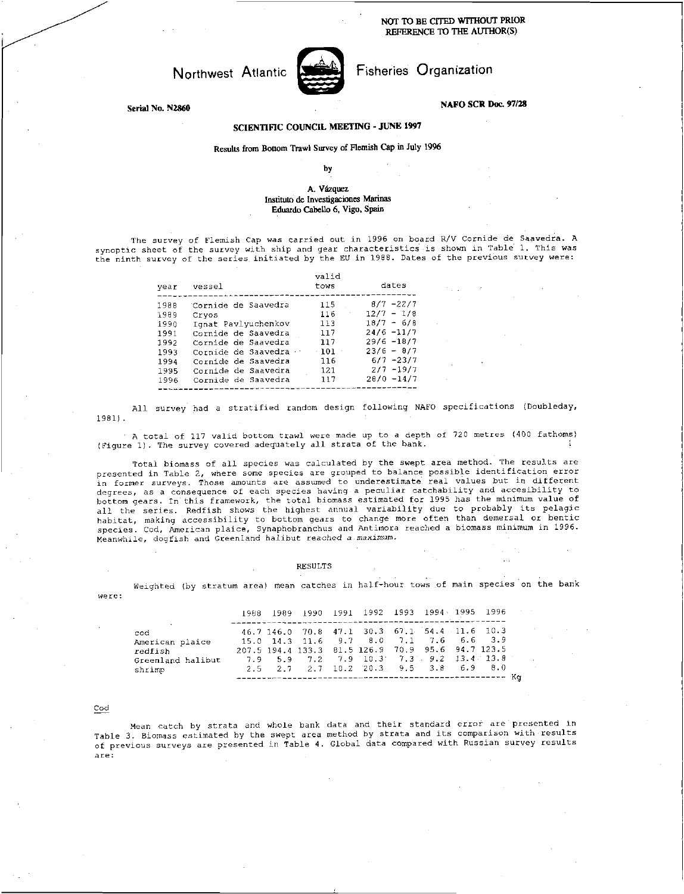NOT TO BE CITED WITHOUT PRIOR REFERENCE TO THE AUTHOR(S)

# Northwest Atlantic



Fisheries Organization

**NAFO SCR Doc. 97/28** 

 $\mathbf{r}$ 

## **Serial No. N2860**

## **SCIENTIFIC COUNCIL MEETING • JUNE 1997**

# Results from Bottom Trawl Survey of Flemish Cap in July 1996

by

### A. Vazquez Institute de Investigaciones Marinas Eduardo Cabello 6, Vigo, Spain

The survey of Flemish Cap was carried out in 1996 on board R/V Cornide de Saavedra. A synoptic sheet of the survey with ship and gear characteristics is shown in Table 1. This was the ninth survey of the series initiated by the EU in 1988. Dates of the previous survey were:

| year                                                         | vessel                                                                                                                                                                   | valid<br>tows                                           | dates                                                                                                                          |
|--------------------------------------------------------------|--------------------------------------------------------------------------------------------------------------------------------------------------------------------------|---------------------------------------------------------|--------------------------------------------------------------------------------------------------------------------------------|
| 1988<br>1989<br>1990<br>1991<br>1992<br>1993<br>1994<br>1995 | Cornide de Saavedra<br>Cryos<br>Ignat Pavlyuchenkov<br>Cornide de Saavedra<br>Cornide de Saavedra<br>Cornide de Saavedra ·<br>Cornide de Saavedra<br>Cornide de Saavedra | 115<br>116<br>113<br>117<br>117<br>$-101$<br>116<br>121 | $8/7 - 22/7$<br>$12/7 - 1/8$<br>$18/7 - 6/8$<br>$24/6 - 11/7$<br>$29/6 - 18/7$<br>$23/6 - 8/7$<br>$6/7 - 23/7$<br>$2/7 - 19/7$ |
| 1996                                                         | Cornide de Saavedra                                                                                                                                                      | 117                                                     | $20/0 - 14/7$                                                                                                                  |

All survey had a stratified random design following NAFO specifications (Doubleday, 1981).

A total of 117 valid bottom trawl were made up to a depth of 720 metres (400 fathoms) (Figure 1). The survey covered adequately all strata of the bank.

Total biomass of all species was calculated by the swept area method. The results are presented in Table 2, where some species are grouped to balance possible identification error in former surveys. Those amounts are assumed to underestimate real values but in different degrees, as a consequence of each species having a peculiar catchability and accesibility to bottom gears. In this framework, the total biomass estimated for 1995 has the minimum value of all the series. Redfish shows the highest annual variability due to probably its pelagic habitat, making accessibility to bottom gears to change more often than demersal or bentic species. Cod, American plaice, Synaphobranchus and Antimora reached a biomass minimum in 1996. Meanwhile, dogfish and Greenland halibut reached a *maximum.* 

#### RESULTS

Weighted (by stratum area) mean catches in half-hour tows of main species on the bank were:

|                                                                  |                                               |  | 1988 1989 1990 1991 1992 1993 1994 1995 1996                                                                                                                                                     |  |  |  |
|------------------------------------------------------------------|-----------------------------------------------|--|--------------------------------------------------------------------------------------------------------------------------------------------------------------------------------------------------|--|--|--|
| cod<br>American plaice<br>redfish<br>Greenland halibut<br>shrimp | 46.7 146.0 70.8 47.1 30.3 67.1 54.4 11.6 10.3 |  | 15.0 14.3 11.6 9.7 8.0 7.1 7.6 6.6 3.9<br>207.5 194.4 133.3 81.5 126.9 70.9 95.6 94.7 123.5<br>$7.9$ 5.9 7.2 7.9 10.3 7.3 9.2 13.4 13.8<br>$2.5$ $2.7$ $2.7$ $10.2$ $20.3$ $9.5$ $3.8$ 6.9 $8.0$ |  |  |  |

#### Cod

Mean catch by strata and whole bank data and their standard error are presented in Table 3. Biomass estimated by the swept area method by strata and its comparison with results of previous surveys are presented in Table 4. Global data compared with Russian survey results are: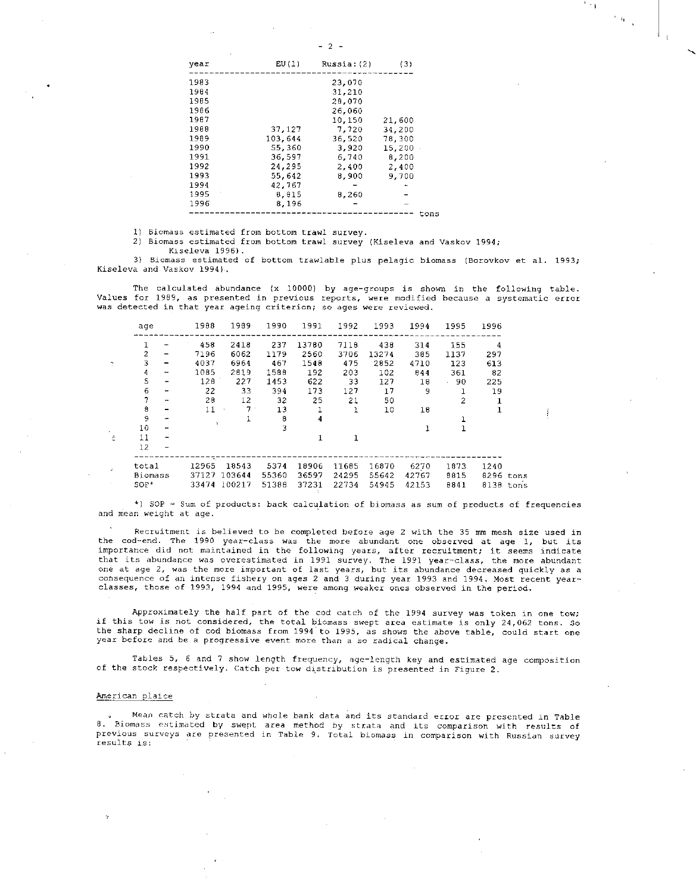$\sim$  1  $^{-}$ 

 $\overline{\gamma}$  as  $\gamma$ 

| year | EU(1)   | Russia: (2) | (3)    |
|------|---------|-------------|--------|
| 1983 |         | 23,070      |        |
| 1984 |         | 31,210      |        |
| 1985 |         | 28,070      |        |
| 1986 |         | 26,060      |        |
| 1987 |         | 10,150      | 21,600 |
| 1988 | 37,127  | 7.720       | 34,200 |
| 1989 | 103,644 | 36,520      | 78,300 |
| 1990 | 55,360  | 3,920       | 15,200 |
| 1991 | 36,597  | 6,740       | 8,200  |
| 1992 | 24,295  | 2,400       | 2,400  |
| 1993 | 55,642  | 8,900       | 9.700  |
| 1994 | 42,767  |             |        |
| 1995 | 8,815   | 8,260       |        |
| 1996 | 8,196   |             |        |
|      |         |             | tons   |

1) Biomass estimated from bottom trawl survey.

2) Biomass estimated from bottom trawl survey (Kiseleva and Vaskov 1994;

Kiseleva 1996).

3) Biomass estimated of bottom trawlable plus pelagic biomass (Borovkov et al. 1993; Kiseleva and Vaskov 1994).

The calculated abundance (x 10000) by age-groups is shown in the following table. Values for 1989, as presented in previous reports, were modified because a systematic error was detected in that year ageing criterion; so ages were reviewed.

| age               |                          | 1988  | 1989        | 1990  | 1991         | 1992         | 1993  | 1994  | 1995           | 1996      |  |
|-------------------|--------------------------|-------|-------------|-------|--------------|--------------|-------|-------|----------------|-----------|--|
|                   |                          | 458   | 2418        | 237   | 13780        | 7118         | 438   | 314   | 155            | 4         |  |
| 2                 | -                        | 7196  | 6062        | 1179  | 2560         | 3706         | 13274 | 385   | 1137           | 297       |  |
| 3                 | -                        | 4037  | 6964        | 467   | 1548         | 475          | 2852  | 4710  | 123            | 613       |  |
| 4                 | $\overline{ }$           | 1085  | 2819        | 1588  | 192          | 203          | 102   | 844   | 361            | 82        |  |
| 5                 |                          | 128   | 227         | 1453  | 622          | 33           | 127   | 18    | .90            | 225       |  |
| 6                 |                          | 22    | 33          | 394   | 173          | 127          | 17    | 9     | 1              | 19        |  |
| 7                 | $\overline{\phantom{a}}$ | 28    | 12          | 32    | 25           | 21           | 50    |       | $\overline{c}$ | 1         |  |
| 8                 |                          | 11    | $7^{\circ}$ | 13    |              | $\mathbf{1}$ | 10    | 18    |                |           |  |
| 9                 |                          | Ÿ     | 1           | 8     | 4            |              |       |       |                |           |  |
| 10                |                          |       |             | 3     |              |              |       |       |                |           |  |
| 11                |                          |       |             |       | $\mathbf{1}$ | 1            |       |       |                |           |  |
| 12                |                          |       |             |       |              |              |       |       |                |           |  |
|                   |                          | 12965 | 18543       | 5374  | 18906        |              |       |       |                |           |  |
| total             |                          |       | 103644      |       |              | 11685        | 16870 | 6270  | 1873           | 1240      |  |
| Biomass<br>$SOP+$ |                          | 37127 |             | 55360 | 36597        | 24295        | 55642 | 42767 | 8815           | 8296 tons |  |
|                   |                          | 33474 | 100217      | 51388 | 37231        | 22734        | 54945 | 42153 | 8841           | 8138 tons |  |

<sup>3</sup> ) SOP = Sum of products: back calculation of biomass as sum of products of frequencies and mean weight at age.

Recruitment is believed to be completed before age 2 with the 35 mm mesh size used in the cod-end. The 1990 year-class was the more abundant one observed at age 1, but its importance did not maintained in the following years, after recruitment; it seems indicate that its abundance was overestimated in 1991 survey. The 1991 year-class, the more abundant one at age 2, was the more important of last years, but its abundance decreased quickly as a consequence of an intense fishery on ages 2 and 3 during year 1993 and 1994. Most recent yearclasses, those of 1993, 1994 and 1995, were among weaker ones observed in the period.

Approximately the half part of the cod catch of the 1994 survey was token in one tow; if this tow is not considered, the total biomass swept area estimate is only 24,062 tons. So the sharp decline of cod biomass from 1994 to 1995, as shows the above table, could start one year before and be a progressive event more than a so radical change.

Tables 5, 6 and 7 show length frequency, age-length key and estimated age composition of the stock respectively. Catch per tow distribution is presented in Figure 2.

#### American plaice

Mean catch by strata and whole bank data and its standard error are presented in Table 8. Biomass estimated by swept area method by strata and its comparison with results of previous surveys are presented in Table 9. Total biomass in comparison with Russian survey results is: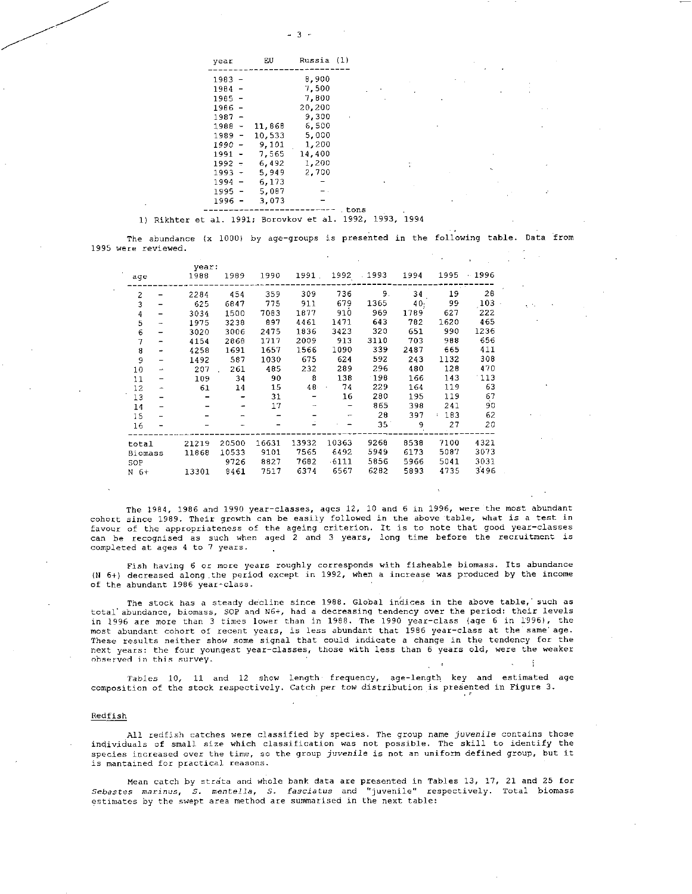| year     |                          | EU     | Russia (1) |      |
|----------|--------------------------|--------|------------|------|
| 1983     |                          |        | 8,900      |      |
| 1984     | $\overline{\phantom{a}}$ |        | 7,500      |      |
| $1985 -$ |                          |        | 7.800      |      |
| 1986 -   |                          |        | 20,200     |      |
| 1987 -   |                          |        | 9,300      |      |
| $1988 -$ |                          | 11,868 | 6,500      |      |
| 1989 -   |                          | 10,533 | 5,000      |      |
| 1990 -   |                          | 9.101  | 1,200      |      |
| 1991 -   |                          | 7.565  | 14,400     |      |
| $1992 -$ |                          | 6.492  | 1,200      |      |
| $1993 -$ |                          | 5.949  | 2,700      |      |
| $1994 -$ |                          | 6, 173 |            |      |
| $1995 -$ |                          | 5.087  |            |      |
| 1996 -   |                          | 3.073  |            |      |
|          |                          |        |            | tons |

1) Rikhter et al. 1991; Borovkov et al. 1992, 1993, 1994

The abundance (x 1000) by age-groups is presented in the following table. Data from 1995 were reviewed.

|       |         |               |                       |               | 1992    | .1993 | 1994 | 1995 | $-1996$ |
|-------|---------|---------------|-----------------------|---------------|---------|-------|------|------|---------|
|       |         |               |                       |               |         |       |      |      |         |
|       | 2284    | 454           | 359                   | 309           | 736     | 9.    | 34   | 19   | 28      |
|       | 625     | 6847          | 775                   | 911           | 679     | 1365  | 40.  | 99   | 103     |
|       | 3034    | 1500          | 7083                  | 1877          | 910     | 969   | 1789 | 627  | 222     |
|       | 1975    | 3238          | 897                   | 4461          | 1471    | 643   | 782  | 1620 | 465     |
|       | 3020    | 3006          | 2475                  | 1836          | 3423    | 320   | 651  | 990  | 1236    |
|       | 4154    | 2868          | 1717                  | 2009          | 913     | 3110  | 703  | 988  | 656     |
|       | 4258    | 1691          | 1657                  | 1566          | 1090    | 339   | 2487 | 665  | 411     |
|       | 1492    | 587           | 1030                  | 675           | 624     | 592   | 243  | 1132 | 308     |
| ÷     | 207     | 261           | 485                   | 232           | 289     | 296   | 480  | 128  | 470     |
|       | 109     | 34            | 90                    | 8             | 138     | 198   | 166  | 143  | 113     |
|       | 61      | 14            | 15                    | $48 -$        | 74      | 229   | 164  | 119  | 63      |
|       |         |               | 31                    |               | 16      | 280   | 195  | 119  | 67      |
|       |         |               | 17                    | $\rightarrow$ |         | 865   | 398  | 241  | 90      |
|       |         |               |                       |               | -       | 28    | 397  | 183  | 62      |
|       |         |               |                       |               |         | 35    | 9    | 27   | 20      |
| total | 21219   | 20500         | 16631                 | 13932         | 10363   | 9268  | 8538 | 7100 | 4321    |
|       | 11868   | 10533         | 9101                  | 7565          | 6492    | 5949  | 6173 | 5087 | 3073    |
|       |         | 9726          | 8827                  | 7682          | $-6111$ | 5856  | 5966 | 5041 | 3031    |
|       |         |               |                       | 6374          | 6567    | 6282  | 5893 | 4735 | 3496    |
|       | Biomass | 1988<br>13301 | year:<br>1989<br>8461 | 1990<br>7517  |         | 1991. |      |      |         |

The 1984, 1986 and 1990 year-classes, ages 12, 10 and 6 in 1996, were the most abundant cohort since 1989. Their growth can be easily followed in the above table, what is a test in favour of the appropriateness of the ageing criterion. It is to note that good year-classes can be recognised as such when aged 2 and 3 years, long time before the recruitment is completed at ages 4 to 7 years.

Fish having 6 or more years roughly corresponds with fisheable biomass. Its abundance (N 6+) decreased along the period except in 1992, when a increase was produced by the income of the abundant 1986 year-class.

The stock has a steady decline since 1988. Global indices in the above table,' such as total abundance, biomass, SOP and N6+, had a decreasing tendency over the period: their levels in 1996 are more than 3 times lower than in 1988. The 1990 year-class (age 6 in 1996), the most abundant cohort of recent years, is less abundant that 1986 year-class at the same' age. These results neither show some signal that could indicate a change in the tendency for the next years: the four youngest year-classes, those with less than 6 years old, were the weaker observed in this survey.

*Tables* 10, 11 and 12 show length frequency, age-length key and estimated age composition of the stock respectively. Catch per tow distribution is presented in Figure 3.

#### Redfish

All redfish catches were classified by species. The group name *juvenile* contains those individuals of small size which classification was not possible. The skill to identify the species increased over the time, so the group juvenile is not an uniform defined group, but it is mantained for practical reasons.

Mean catch by strata and whole bank data are presented in Tables 13, 17, 21 and 25 for *Sebastes marinus, S. mentella, S. fasciatus* and "juvenile" respectively. Total biomass estimates by the swept area method are summarised in the next table: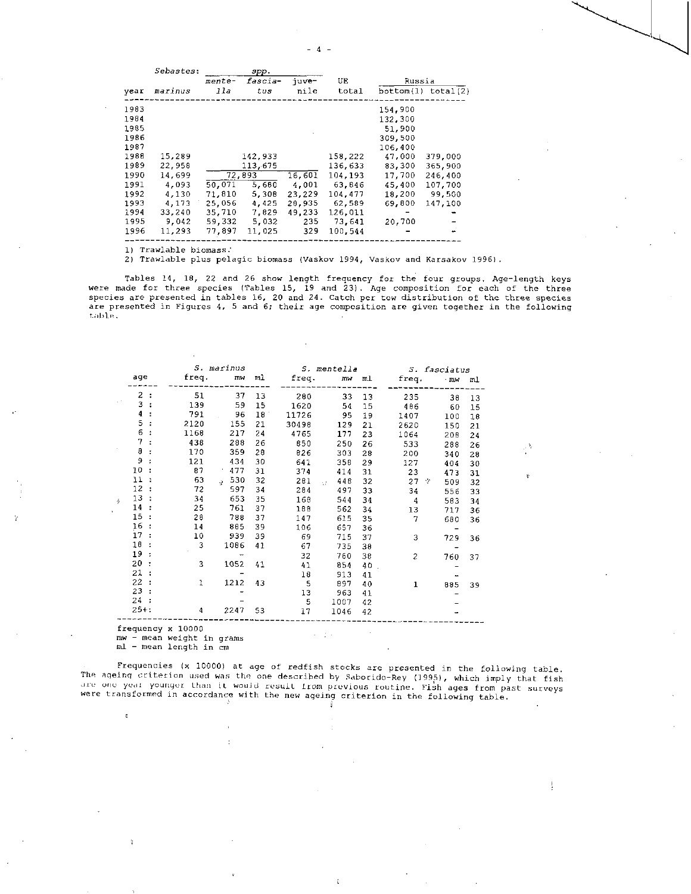- 4 -

|      | <i>Sebastes:</i> |        | spp.    |        |         |         |                    |
|------|------------------|--------|---------|--------|---------|---------|--------------------|
|      |                  | mente- | fascia- | juve-  | UE      | Russia  |                    |
| vear | marinus          | lla    | tus     | nile   | total   |         | bottom(1) total(2) |
| 1983 |                  |        |         |        |         | 154.900 |                    |
| 1984 |                  |        |         |        |         | 132.300 |                    |
| 1985 |                  |        |         |        |         | 51.900  |                    |
| 1986 |                  |        |         |        |         | 309,500 |                    |
| 1987 |                  |        |         |        |         | 106,400 |                    |
| 1988 | 15,289           |        | 142,933 |        | 158.222 | 47,000  | 379,000            |
| 1989 | 22,958           |        | 113,675 |        | 136.633 | 83,300  | 365,900            |
| 1990 | 14,699           |        | 72,893  | 16,601 | 104.193 | 17.700  | 246,400            |
| 1991 | 4,093            | 50.071 | 5,680   | 4,001  | 63.846  | 45.400  | 107,700            |
| 1992 | 4,130            | 71.810 | 5.308   | 23,229 | 104.477 | 18,200  | 99.500             |
| 1993 | 4.173            | 25,056 | 4.425   | 28,935 | 62,589  | 69,800  | 147,100            |
| 1994 | 33,240           | 35,710 | 7,829   | 49,233 | 126,011 |         |                    |
| 1995 | 9.042            | 59,332 | 5,032   | 235    | 73.641  | 20,700  |                    |
| 1996 | 11.293           | 77.897 | 11,025  | 329    | 100.544 |         |                    |
|      |                  |        |         |        |         |         |                    |

1) Trawlable biomass:

2) Trawlable plus pelagic biomass (Vaskov 1994, Vaskov and Karsakov 1996).

Tables 14, 18, 22 and 26 show length frequency for the four groups. Age-length keys were made for three species (Tables 15, 19 and 23). Age composition for each of the three species are presented in tables 16, 20 and 24. Catch per tow distribution of the three species are presented in Figures 4, 5 and 6; their age composition are given together in the following table.

|                |                |       | <i>S. marinus</i>                  |    |       | S. mentella |    |          | S. fasciatus |    |
|----------------|----------------|-------|------------------------------------|----|-------|-------------|----|----------|--------------|----|
| age            |                | freq. | mw                                 | ml | freq. | mw          | ml | freq.    | - mw         | ml |
| $\overline{c}$ | $\ddot{\cdot}$ | 51    | 37                                 | 13 | 280   | 33          | 13 | 235      | 38           | 13 |
| 3              |                | 139   | 59                                 | 15 | 1620  | 54          | 15 | 486      | 60           | 15 |
| 4              |                | 791   | 96                                 | 18 | 11726 | 95          | 19 | 1407     | 100          | 18 |
| 5              |                | 2120  | 155                                | 21 | 30498 | 129         | 21 | 2620     | 150          | 21 |
| 6              |                | 1168  | 217                                | 24 | 4765  | 177         | 23 | 1064     | 208          | 24 |
| 7              |                | 438   | 288                                | 26 | 850   | 250         | 26 | 533      | 288          | 26 |
| 8              |                | 170   | 359                                | 28 | 826   | 303         | 28 | 200      | 340          | 28 |
| 9              |                | 121   | 434                                | 30 | 641   | 358         | 29 | 127      | 404          | 30 |
| 10             |                | 87    | 477                                | 31 | 374   | 414         | 31 | 23       | 473          | 31 |
| 11             |                | 63    | 530<br>$\mathcal{L}_{\mathcal{C}}$ | 32 | 281   | 448<br>Ψř   | 32 | 27<br>-2 | 509          | 32 |
| 12             |                | 72    | 597                                | 34 | 284   | 497         | 33 | 34       | 556          | 33 |
| 13             |                | 34    | 653                                | 35 | 168   | 544         | 34 | 4        | 583          | 34 |
| 14             |                | 25    | 761                                | 37 | 188   | 562         | 34 | 13       | 717          | 36 |
| 15             |                | 28    | 788                                | 37 | 147   | 615         | 35 | 7        | 680          | 36 |
| 16             |                | 14    | 885                                | 39 | 106   | 657         | 36 |          |              |    |
| 17             |                | 10    | 939                                | 39 | 69    | 715         | 37 | 3        | 729          | 36 |
| 18             |                | 3     | 1086                               | 41 | 67    | 735         | 38 |          |              |    |
| 19             |                |       |                                    |    | 32    | 760         | 38 | 2        | 760          | 37 |
| 20             |                | 3     | 1052                               | 41 | 41    | 854         | 40 |          |              |    |
| 21             |                |       |                                    |    | 18    | 913         | 41 |          |              |    |
| 22             |                | 1     | 1212                               | 43 | 5     | 897         | 40 | 1        | 885          | 39 |
| 23             |                |       |                                    |    | 13    | 963         | 41 |          |              |    |
| 24             |                |       |                                    |    | 5     | 1007        | 42 |          |              |    |
| $25 + 1$       |                | 4     | 2247                               | 53 | 17    | 1046        | 42 |          |              |    |

frequency x 10000

ë

mw - mean weight in grams ml - mean length in cm

Frequencies (x 10000) at age of redfish stocks are presented in the following table. ine ageing criterion used was the one described by Saborido-Rey (1995), which imply that fish<br>ure one year younger than it would result from previous routine. Fish ages from past surveys were transformed in accordance with the new ageing criterion in the following table.

-8

ţ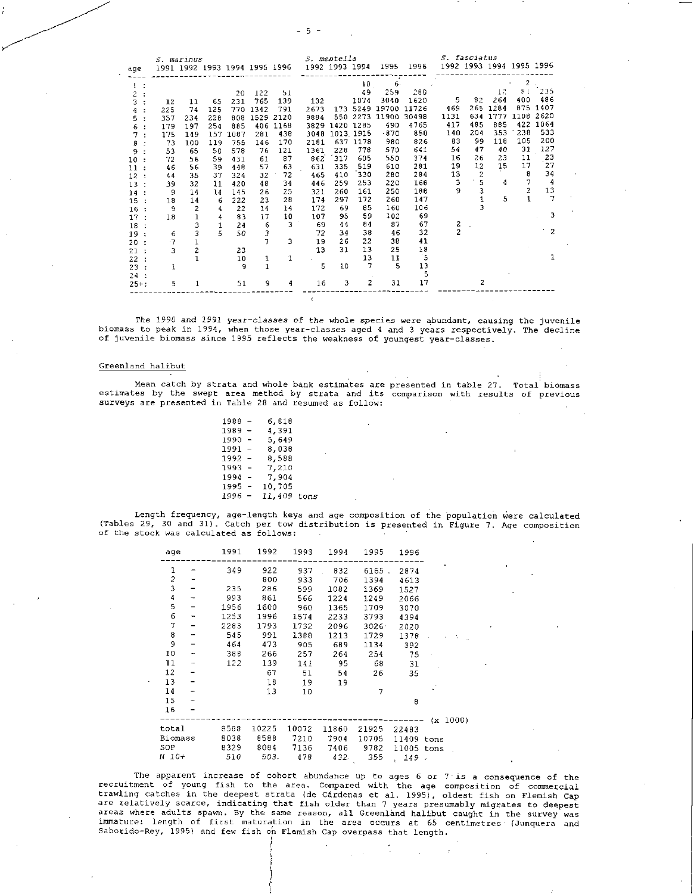| v |
|---|
|---|

|                            |        | <i>S. marinus</i>             |     |      |              |           |                | <i>S. mentella</i> |          |               |       |                | <i>S. fasciatus</i>      |      |                |      |
|----------------------------|--------|-------------------------------|-----|------|--------------|-----------|----------------|--------------------|----------|---------------|-------|----------------|--------------------------|------|----------------|------|
| age                        |        | 1991 1992 1993 1994 1995 1996 |     |      |              |           | 1992 1993 1994 |                    |          | 1995          | 1996  |                | 1992 1993 1994 1995 1996 |      |                |      |
|                            |        |                               |     |      |              |           |                |                    |          | $\mathcal{L}$ |       |                |                          |      |                |      |
|                            |        |                               |     |      |              |           |                |                    | 10       | 6.            |       |                |                          |      | 2              |      |
| 2                          |        |                               |     | 20   | 122          | 51        |                |                    | 49       | 259           | 280   |                |                          | 12   | 8 <sub>1</sub> | 235  |
| 3                          | 12     | 11                            | 65  | 231  | 765          | 139       | 132            |                    | 1074     | 3040          | 1620  | 5              | 82                       | 264  | 400            | 486  |
|                            | 225    | 74                            | 125 | 770  | 1342         | 791       | 2673           |                    | 173 5249 | 19700         | 11726 | 469            | 265                      | 1284 | 875            | 1407 |
| 5.                         | 357    | 234                           | 228 | 808  |              | 1529 2120 | 9884           |                    | 550 2273 | 11900         | 30498 | 1131           | 634                      | 1777 | 1108           | 2620 |
| 6                          | 179    | 197                           | 254 | 885  | 406          | 1168      | 3829           | 1420 1285          |          | 490           | 4765  | 417            | 485                      | 885  | 422            | 1064 |
| 7                          | 175    | 149                           | 157 | 1087 | 281          | 438       | 3048           | 1013.1915          |          | $-870$        | 850   | 140            | 204                      | 353  | 238            | 533  |
| 8<br>$\cdot$               | 73     | 100                           | 119 | 755  | 146          | 170       | 2181           | 637                | 1178     | 980           | 826   | 83             | 99                       | 118  | 105            | 200  |
| 9                          | 53     | 65                            | 50  | 578  | 76           | 121       | 1361           | 228                | 778      | 570           | 641   | 54             | 47                       | 40   | 31             | 127  |
| 10<br>$\ddot{\phantom{a}}$ | 72     | 56                            | 59  | 431  | 61           | 87        | 862            | 317                | 605      | 550           | 374   | 16             | 26                       | 23   | 11             | 23   |
| 11<br>$\cdot$              | 46     | 56                            | 39  | 448  | 57           | 63        | 631            | 335                | 519      | 610           | 281   | 19             | 12                       | 15   | 17             | 27   |
| 12<br>$\cdot$              | 44     | 35                            | 37  | 324  | 32           | 72        | 465            | 410                | 330      | 280           | 284   | 13             | $\overline{c}$           |      | 8              | 34   |
| 13<br>$\cdot$              | 39     | 32                            | 11  | 420  | 48           | 34        | 446            | 259                | 253      | 220           | 168   | 3              | 5                        | 4    | 7              | 4    |
| 14                         | 9      | 14                            | 14  | 145  | 26           | 25        | 321            | 260                | 161      | 250           | 188   | 9              | 3                        |      | 2              | 13   |
| 15                         | 18     | 14                            | 6   | 222  | 23           | 28        | 174            | 297                | 172      | 260           | 147   |                |                          | 5    |                | 7    |
| 16                         | 9      | 2                             | 4   | 22   | 14           | 14        | 172            | 69                 | 85       | 160           | 106   |                | 3                        |      |                |      |
| 17<br>$\cdot$              | 18     | 1                             | 4   | 83   | 17           | 10        | 107            | 95                 | 59       | 102           | 69    |                |                          |      |                | 3    |
| 18                         |        | 3                             |     | 24   | 6            | 3         | 69             | 44                 | 84       | 87            | 67    | 2              |                          |      |                |      |
| 19<br>$\mathbf{r}$         | 6      | 3                             | 5   | 50   | 3            |           | 72             | 34                 | 38       | 46            | 32    | $\overline{c}$ |                          |      |                | 2    |
| 20                         | $\tau$ |                               |     |      | 7            | 3         | 19             | 26                 | 22       | 38            | 41    |                |                          |      |                |      |
| 21:                        | 3      | 2                             |     | 23   |              |           | 13             | 31                 | 13       | 25            | 18    |                |                          |      |                |      |
| 22<br>- 1                  |        |                               |     | 10   | 1            | 1         |                |                    | 13       | 11            | 5     |                |                          |      |                |      |
| 23:                        | 1      |                               |     | 9    | $\mathbf{1}$ |           | 5              | 10                 | 7        | 5             | 13    |                |                          |      |                |      |
| 24:                        |        |                               |     |      |              |           |                |                    |          |               | 5     |                |                          |      |                |      |
| $25 + :$                   | 5      |                               |     | 51   | 9            | 4         | 16             | 3                  | 2        | 31            | 17    |                | 2                        |      |                |      |

*The 1990 and 1991 year-classes* of the whole species were abundant, causing the juvenile biomass to peak in 1994, when those year-classes aged 4 and 3 years respectively. The decline of juvenile biomass since 1995 reflects the weakness of youngest year-classes.

#### Greenland halibut

Mean catch by strata and whole bank estimates are presented in table 27. Total biomass estimates by the swept area method by strata and its comparison with results of previous surveys are presented in Table 28 and resumed as follow:

> 1988 - 6,818<br>1989 - 4,391  $1989 - 4,391$ <br> $1990 - 5,649$  $1990 - 5,649$ <br> $1991 - 8,038$  $1991 - 8,038$ <br>  $1992 - 8,588$  $1992 - 8,588$ <br> $1993 - 7,210$ 1993 - 7,210<br>1994 - 7,904  $\frac{7,904}{10,705}$  $1995 -$ 1996 - 11,409 tons

Length frequency, age-length keys and age composition of the population were calculated (Tables 29, 30 and 31). Catch per tow distribution is presented in Figure 7. Age composition of the stock was calculated as follows:

| age           |                          | 1991 | 1992  | 1993            | 1994  | 1995  | 1996                  |          |
|---------------|--------------------------|------|-------|-----------------|-------|-------|-----------------------|----------|
| 1             |                          | 349  | 922   | 937             | 832   | 6165. | 2874                  |          |
| $\frac{2}{3}$ |                          |      | 800   | 933             | 706   | 1394  | 4613                  |          |
|               |                          | 235  | 286   | 599             | 1082  | 1369  | 1527                  |          |
| 4             | $\overline{\phantom{a}}$ | 993  | 861   | 566             | 1224  | 1249  | 2066                  |          |
| 5             |                          | 1956 | 1600  | 960             | 1365  | 1709  | 3070                  |          |
| 6             | -                        | 1253 | 1996  | 1574            | 2233  | 3793  | 4394                  |          |
| 7             | -                        | 2283 | 1793  | 1732            | 2096  | 3026  | 2020                  |          |
| 8             | ÷                        | 545  | 991   | 1388            | 1213  | 1729  | 1378                  |          |
| 9             | -                        | 464  | 473   | 905             | 689   | 1134  | 392                   |          |
| 10            | $\overline{\phantom{a}}$ | 388  | 266   | 257             | 264   | 254   | 75                    |          |
| 11            |                          | 122  | 139   | 141             | 95    | 68    | 31                    |          |
| 12            |                          |      | 67    | 51              | 54    | 26    | 35                    |          |
| 13            | -                        |      | 10    | 19              | 19    |       |                       |          |
| 14            | -                        |      | 13    | 10 <sup>°</sup> |       | 7     |                       |          |
| 15            |                          |      |       |                 |       |       | 8                     |          |
| 16            |                          |      |       |                 |       |       |                       |          |
|               |                          |      |       |                 |       |       |                       | (x 1000) |
| total         |                          | 8588 | 10225 | 10072           | 11860 | 21925 | 22483                 |          |
| Biomass       |                          | 8038 | 8588  | 7210            | 7904  | 10705 | 11409 tons            |          |
| SOP           |                          | 8329 | 8084  | 7136            | 7406  | 9782  | 11005 tons            |          |
| N 10+         |                          | 510  | 503.  | 478             | 432.  | 355   | 149 .<br>$\mathbf{v}$ |          |

The apparent increase of cohort abundance up to ages 6 or 7 is a consequence of the<br>recruitment of young fish to the area. Compared with the age composition of commercial trawling catches in the deepest strata (de Cardenas et al. 1995), oldest fish on Flemish Cap are relatively scarce, indicating that fish older than 7 years presumably migrates to deepest areas where adults spawn. By the same reason, all Greenland halibut caught in the survey was immature: length of first maturation in the area occurs at 65 centimetres' (Junquera and Saborido-Rey, 1995) and few fish on Flemish Cap overpass that length.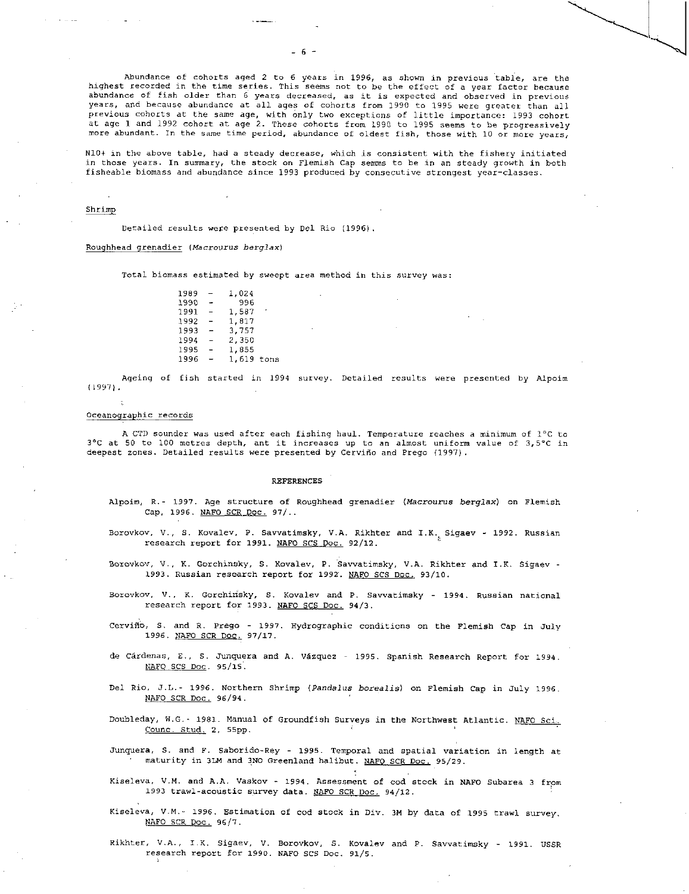Abundance of cohorts aged 2 to 6 years in 1996, as shown in previous table, are the highest recorded in the time series. This seems not to be the effect of a year factor because abundance of fish older than 6 years decreased, as it is expected and observed in previous years, and because abundance at all ages of cohorts from 1990 to 1995 were greater than all previous cohorts at the same age, with only two exceptions of little importance: 1993 cohort at age 1 and 1992 cohort at age 2. These cohorts from 1990 to 1995 seems to be progressively more abundant. In the same time period, abundance of oldest fish, those with 10 or more years,

N10+ in the above table, had a steady decrease, which is consistent with the fishery initiated in those years. In summary, the stock on Flemish Cap semms to be in an steady growth in both fisheable biomass and abundance since 1993 produced by consecutive strongest year-classes.

#### Shrimp

Detailed results were presented by Del Rio (1996).

Roughhead grenadier *(Placrourus berglax)* 

Total biomass estimated by sweept area method in this survey was:

 $1989 - 1,024$ <br> $1990 - 996$  $1990$ <br> $1991$ 1991 - 1,587<br>1992 - 1.817 1992 - 1,817<br>1993 - 3,757  $1993 - 3,757$ <br> $1994 - 2,350$  $1994 - 2,350$ <br>1995 - 1.855 1995 - 1,855<br>1996 - 1,619 1,619 tons

Ageing of fish started in 1994 survey. Detailed results were presented by Alpoim  $(1997)$ .

#### Oceanographic records

A CTD sounder was used after each fishing haul. Temperature reaches a minimum of 1°C to <sup>3</sup> ° C at 50 to 100 metres depth, ant it increases up to an almost uniform value of 3,5°C in deepest zones. Detailed results were presented by Cerviño and Prego (1997).

#### REFERENCES

- Alpoim, R.- 1997. Age structure of Roughhead grenadier *(Macrourus berglax)* on Flemish Cap, 1996. NAFO SCR Doc. 97/..
- Borovkov, V., S. Kovalev, P. Savvatimsky, V.A. Rikhter and I.K. Sigaev 1992. Russian research report for 1991. NAFO SCS Doc. 92/12.
- Borovkov, V., K. Gorchinsky, S. Kovalev, P. Savvatimsky, V.A. Rikhter and I.K. Sigaev 1993. Russian research report for 1992. NAFO SCS Doc. 93/10.
- Borovkov, V., K. Gorchidsky, S. Kovalev and P. Savvatimsky 1994. Russian national research report for 1993. NAFO SCS Doc. 94/3.
- Cervifio, S. and R. Prego 1997. Hydrographic conditions on the Flemish Cap in July 1996. NAFO SCR Doc. 97/17.
- de cardenas, E., S. Junquera and A. Vazquez 1995. Spanish Research Report for 1994. NAFO SCS Doc. 95/15.
- Del Rio, J.L.- 1996. Northern Shrimp *(Pandalus borealis)* on Flemish Cap in July 1996. NAFO SCR Doc. 96/94.
- Doubleday, W.G.- 1981. Manual of Groundfish Surveys in the Northwest Atlantic. NAFO Sci. Counc. Stud. 2, 55pp.
- Junquera, S. and F. Saborido-Rey 1995. Temporal and spatial variation in length at maturity in 3LM and 3NO Greenland halibut. NAFO SCR Doc. 95/29.
- Kiseleva, V.M. and A.A. Vaskov 1994. Assessment of cod stock in NAFO Subarea 3 from 1993 trawl-acoustic survey data. NAFO SCR Doc. 94/12.
- Kiseleva, V.M.- 1996. Estimation of cod stock in Div. 3M by data of 1995 trawl survey. NAFO SCR Doc. 96/7.
- Rikhter, V.A., I.K. Sigaev, V. Borovkov, S. Kovalev and P. Savvatimsky 1991. USSR research report for 1990. NAFO SCS Doc. 91/5.

 $-6$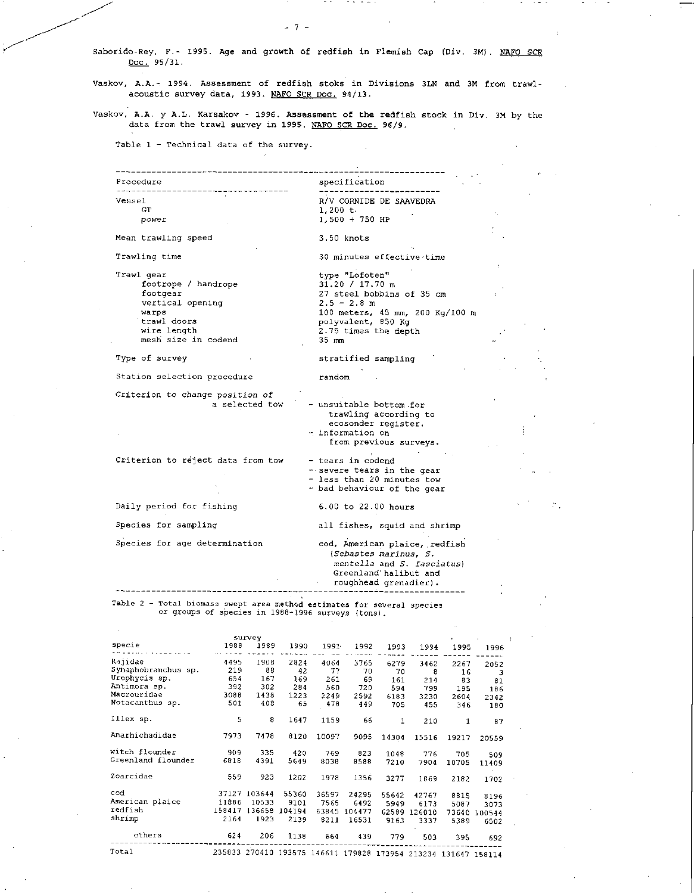**Saborido-Rey, F.- 1995. Age and growth of redfish in Flemish Cap (Div. 3M). NAFO SCR**  Doc. 95/31.

*- 7 -* 

**Vaskov, A.A.- 1994. Assessment of redfish stoke in Divisions 3LN and 3M from trawlacoustic survey data, 1993. NAFO SCR Doc. 94/13.** 

**Vaskov, A.A. y A.L. Karsakov - 1996. Assessment of the redfish stock in Div. 3M by the data from the trawl survey in 1995. NAFO SCR Doc. 96/9.** 

**Table 1 -** Technical data of the survey.

Procedure specification Vessel **R/V CORNIDE DE** SAAVEDRA GT  $1,200 \t{t}$ <br>power  $1,500 + t$  $\sim$ *power* 1,500 + 750 HP Mean trawling speed 3.50 knots Trawling time 30 minutes effective time Trawl gear type "Lofoten" 31.20 / **17.70 m**  footrope / handrope footgear 27 steel bobbins of 35 cm vertical opening  $2.5 - 2.8$  m warps 100 meters, 45 mm, 200 Kg/100 m polyvalent, 850 Kg trawl doors wire length 2.75 times the depth mesh size in codend 35 mm Type of survey stratified sampling Station selection procedure random Criterion to change *position of*  a selected tow - unsuitable bottom for trawling according to ecosonder register. - information on from previous surveys. Criterion to reject data from tow - tears in codend --severe tears in the gear - less than 20 minutes tow - bad behaviour of the gear Daily period for fishing 6.00 to 22.00 hours Species for sampling all fishes, squid and shrimp Species for age determination cod, American plaice, redfish *(Sebastes marinus, S. mentella* and *S. fasciatus)*  Greenland' halibut and roughhead grenadier). Table 2 - Total biomass swept area method estimates for several species or groups of species in 1988-1996 surveys (tons).

|                     |        | survey |        |                                                                |        |              |              |       |        |
|---------------------|--------|--------|--------|----------------------------------------------------------------|--------|--------------|--------------|-------|--------|
| specie              | 1988   | 1989   | 1990   | $1991 -$                                                       | 1992   | 1993         | 1994         | 1995  | 1996   |
| Rajidae             | 4495   | 1908   | 2824   | 4064                                                           | 3765   | 6279         | 3462         | 2267  | 2052   |
| Synaphobranchus sp. | 219    | 88     | 42     | 77                                                             | 70     | 70           | 8            | 16    | 3      |
| Urophycis sp.       | 654    | 167    | 169    | 261                                                            | 69     | 161          | 214          | 83    | 81     |
| Antimora sp.        | 392    | 302    | 284    | 560                                                            | 720    | 594          | 799          | 195   | 186    |
| Macrouridae         | 3088   | 1438   | 1223   | 2249                                                           | 2592   | 6183         | 3230         | 2604  | 2342   |
| Notacanthus sp.     | 501    | 408    | 65     | 470                                                            | 449    | 705          | 455          | 346   | 180    |
| Illex sp.           | 5      | 8      | 1647   | 1159                                                           | 66     | $\mathbf{1}$ | 210          | 1     | 87     |
| Anarhichadidae      | 7973   | 7478   | 8120   | 10097                                                          | 9095   | 14304        | 15516        | 19217 | 20559  |
| witch flounder      | 909    | 335    | 420    | 769                                                            | 823    | 1048         | 776          | 705   | 509    |
| Greenland flounder  | 6818   | 4391   | 5649   | 8038                                                           | 8588   | 7210         | 7904         | 10705 | 11409  |
| Zoarcidae           | 559    | 923    | 1202   | 1978                                                           | 1356   | 3277         | 1869         | 2182  | 1702   |
| cod                 | 37127  | 103644 | 55360  | 36597                                                          | 24295  | 55642        | 42767        | 8815  | 8196   |
| American plaice     | 11886  | 10533  | 9101   | 7565                                                           | 6492   | 5949         | 6173         | 5087  | 3073   |
| redfish             | 158417 | 136658 | 104194 | 63645                                                          | 104477 |              | 62589 126010 | 73640 | 100544 |
| shrimp              | 2164   | 1923   | 2139   | 8211                                                           | 16531  | 9163         | 3337         | 5389  | 6502   |
| others              | 624    | 206    | 1138   | 664                                                            | 439    | 779          | 503          | 395   | 692    |
| Total               |        |        |        | 235833 270410 193575 146611 179828 173954 213234 131647 158114 |        |              |              |       |        |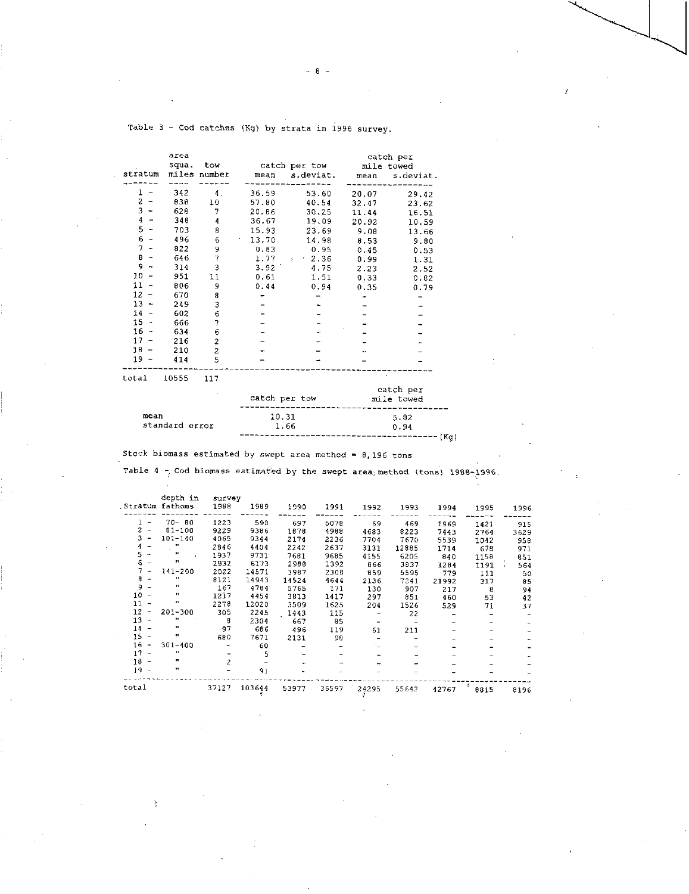|         | area<br>squa. | tow            |       | catch per tow            |       | catch per<br>mile towed |
|---------|---------------|----------------|-------|--------------------------|-------|-------------------------|
| stratum |               | miles number   | mean  | s.deviat.                | mean  | s.deviat.               |
|         |               |                |       |                          |       |                         |
| 1       | 342           | 4.             | 36.59 | 53.60                    | 20.07 | 29.42                   |
| 2       | 838           | 10             | 57.80 | 40.54                    | 32.47 | 23.62                   |
| 3       | 628           | 7              | 20.86 | 30,25                    | 11.44 | 16.51                   |
| 4       | 348           | 4              | 36.67 | 19.09                    | 20.92 | 10.59                   |
| 5       | 703           | 8              | 15.93 | 23.69                    | 9.08  | 13.66                   |
| 6       | 496           | б              | 13.70 | 14.98                    | 8.53  | 9.80                    |
| 7       | 822           | 9              | 0.83  | 0.95                     | 0.45  | 0.53                    |
| 8       | 646           | 7              | 1.77  | $-2.36$<br>$\mathcal{L}$ | 0.99  | 1.31                    |
| 9       | 314           | 3              | 3.92  | 4.75                     | 2.23  | 2.52                    |
| 10      | 951           | 11             | 0.61  | 1.51                     | 0.33  | 0.82                    |
| $11 -$  | 806           | 9              | 0.44  | 0.94                     | 0.35  | 0.79                    |
| $12 -$  | 670           | 8              |       |                          |       |                         |
| $13 -$  | 249           | 3              |       |                          |       |                         |
| 14      | 602           | 6              |       |                          |       |                         |
| 15 -    | 666           | 7              |       |                          |       |                         |
| $16 -$  | 634           | 6              |       |                          |       |                         |
| 17      | 216           | $\overline{c}$ |       |                          |       |                         |
| $18 -$  | 210           | $\overline{c}$ |       |                          |       |                         |
| $19 -$  | 414           | 5              |       |                          |       |                         |
|         | $ - - - -$    |                |       |                          |       |                         |

Table 3 - Cod catches (Kg) by strata in 1996 survey.

total 10555 117

|                        | catch per tow | catch per<br>mile towed |
|------------------------|---------------|-------------------------|
| mean<br>standard error | 10.31<br>1.66 | 5.82<br>0.94            |
|                        |               |                         |

Stock biomass estimated by swept area method = 8,196 tons

Table 4  $\frac{1}{7}$  Cod biomass estimated by the swept area method (tons) 1988-1996.

|                                    | depth in<br>Stratum fathoms | survey<br>1988 | 1989   | 1990  | 1991  | 1992  | 1993  | 1994  | 1995      | 1996 |
|------------------------------------|-----------------------------|----------------|--------|-------|-------|-------|-------|-------|-----------|------|
| $\overline{ }$                     | $70 - 80$                   | 1223           | 590    | 697   | 5078  | 69    | 469   | 1969  | 1421      | 915  |
| 2                                  | $81 - 100$                  | 9229           | 9386   | 1878  | 4988  | 4683  | 8223  | 7443  | 2764      | 3629 |
| 3                                  | $101 - 140$                 | 4065           | 9344   | 2174  | 2236  | 7704  | 7670  | 5539  | 1042      | 958  |
|                                    | ĸ                           | 2846           | 4404   | 2242  | 2637  | 3131  | 12885 | 1714  | 678       | 971  |
| 5<br>$\overline{\phantom{a}}$      | Pr.                         | 1937           | 9731   | 7681  | 9685  | 4155  | 6205  | 840   | 1158      | 851  |
| 6.                                 | 99                          | 2932           | 6173   | 2988  | 1392  | 866   | 3837  | 1284  | 1191      | 564  |
|                                    | 141-200                     | 2022           | 14571  | 3987  | 2308  | 859   | 5595  | 779   | 111       | 50   |
| 8                                  | n                           | 8121           | 14943  | 14524 | 4644  | 2136  | 7241  | 21992 | 317       | 85   |
| 9                                  | н                           | 167            | 4784   | 5765  | 171   | 130   | 907   | 217   | 8         | 94   |
| 10<br>$\overline{\phantom{a}}$     | $\pmb{\pi}$                 | 1217           | 4454   | 3813  | 1417  | 297   | 851   | 460   | 53        | 42   |
| 11<br>$\rightarrow$                | 93                          | 2278           | 12020  | 3509  | 1625  | 204   | 1526  | 529   | 71        | 37   |
| 12<br>-                            | 201-300                     | 305            | 2245   | 1443  | 115   |       | 22    |       |           |      |
| 13<br>$\overline{\phantom{a}}$     | Ħ                           | 8              | 2304   | 667   | 85    |       |       |       |           |      |
| 14<br>$\overline{\phantom{a}}$     | ,,                          | 97             | 686    | 496   | 119   | 61    | 211   |       |           |      |
| 15<br>-                            | æ                           | 680            | 7671   | 2131  | 98    |       |       |       |           |      |
| 16<br>$\overline{\phantom{a}}$     | $301 - 400$                 |                | 60     |       |       |       |       |       |           |      |
| 17<br>$\qquad \qquad \blacksquare$ | n                           |                | 5      |       |       |       |       |       |           |      |
| $18 -$                             | n                           | $\overline{c}$ |        |       |       |       |       |       |           |      |
| $19 -$                             | .,                          |                | 91     |       |       |       |       |       |           |      |
| total                              |                             | 37127          | 103644 | 53977 | 36597 | 24295 | 55642 | 42767 | ÷<br>8815 | 8196 |

 $8 -$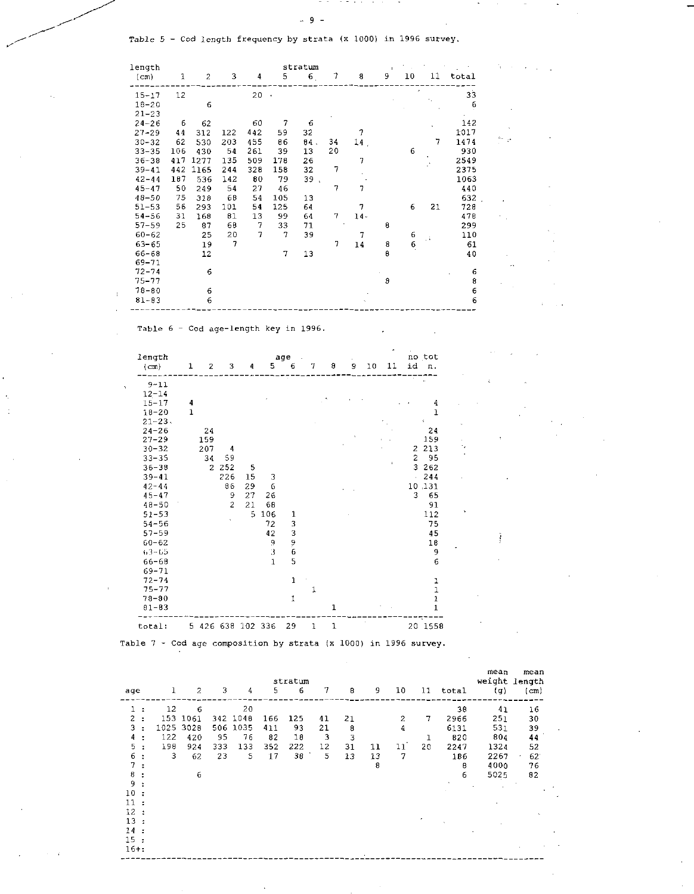. . .

Table 5 - Cod length frequency by strata (x 1000) in 1996 survey.

| length            |              |      |     |      |                | stratum        |                |     | $\mathbf{r}$ |                                       |    |       |    |
|-------------------|--------------|------|-----|------|----------------|----------------|----------------|-----|--------------|---------------------------------------|----|-------|----|
| (c <sub>m</sub> ) | $\mathbf{1}$ | 2    | 3   | 4    | 5              | 6 <sub>1</sub> | 7              | 8   | 9            | 10 <sup>°</sup>                       | 11 | total |    |
| $15 - 17$         | 12           |      |     | 20.4 |                |                |                |     |              |                                       |    | 33    |    |
| $18 - 20$         |              | 6    |     |      |                |                |                |     |              |                                       | ٠, | 6     |    |
| $21 - 23$         |              |      |     |      |                |                |                |     |              |                                       |    |       |    |
| $24 - 26$         | 6            | 62   |     | 60   | $\overline{7}$ | 6              |                |     |              |                                       |    | 142   |    |
| $27 - 29$         | 44           | 312  | 122 | 442  | 59             | 32             |                | 7   |              |                                       |    | 1017  |    |
| $30 - 32$         | 62           | 530  | 203 | 455  | 86             | 04.            | 34             | 14, |              |                                       | 7  | 1474  |    |
| $33 - 35$         | 106          | 430  | 54  | 261  | 39             | 13             | 20             |     |              | 6                                     |    | 930   |    |
| $36 - 38$         | 417          | 1277 | 135 | 509  | 178            | 26             |                | 7   |              |                                       |    | 2549  |    |
| $39 - 41$         | 442          | 1165 | 244 | 328  | 158            | 32             | 7              |     |              |                                       |    | 2375  |    |
| $42 - 44$         | 187          | 536  | 142 | 80   | 79             | 39.            |                |     |              |                                       |    | 1063  |    |
| $45 - 47$         | 50           | 249  | 54  | 27   | 46             |                | 7              | 7   |              |                                       |    | 440   |    |
| $48 - 50$         | 75           | 318  | 68  | 54   | 105            | 13             |                |     |              |                                       |    | 632   |    |
| $51 - 53$         | 56           | 293  | 101 | 54   | 125            | 64             |                | 7   |              | 6                                     | 21 | 728   |    |
| $54 - 56$         | 31           | 168  | 81  | 13   | 99             | 64             | $\overline{7}$ | 14. |              |                                       |    | 478   |    |
| $57 - 59$         | 25           | 87   | 68  | 7    | 33             | 71             |                |     | 8            |                                       |    | 299   |    |
| $60 - 62$         |              | 25   | 20  | 7    | 7              | 39             |                | 7   |              | $\begin{array}{c} 6 \\ 6 \end{array}$ | V. | 110   |    |
| $63 - 65$         |              | 19   | 7   |      |                |                | 7              | 14  | 8            |                                       |    | 61    |    |
| $66 - 68$         |              | 12   |     |      | 7              | 13             |                |     | B            |                                       |    | 40    |    |
| 69-71             |              |      |     |      |                |                |                |     |              |                                       |    |       | ×× |
| $72 - 74$         |              | 6    |     |      |                |                |                |     |              |                                       |    | 6     |    |
| $75 - 77$         |              |      |     |      |                |                |                |     | 8            |                                       |    | 8     |    |
| $78 - 80$         |              | 6    |     |      |                |                |                |     |              |                                       |    | 6     |    |
| $81 - 83$         |              | 6    |     |      |                |                |                |     |              |                                       |    | 6     |    |

Table 6 - Cod age-length key in 1996.

| length<br>(cm) | 1           | 2             | 3                 | 4  | 5            | age<br>6      | 7 | 8           | 9 | 10 | 11             | id             | no tot<br>n.  |
|----------------|-------------|---------------|-------------------|----|--------------|---------------|---|-------------|---|----|----------------|----------------|---------------|
| $9 - 11$       |             |               |                   |    |              |               |   |             |   |    |                |                | k.            |
| $12 - 14$      |             |               |                   |    |              |               |   |             |   |    |                |                |               |
| $15 - 17$      | 4           |               |                   |    |              |               |   |             |   |    |                |                | 4             |
| $18 - 20$      | $\mathbf 1$ |               |                   |    |              |               |   |             |   |    |                |                | $\mathbf{1}$  |
| $21 - 23$ .    |             |               |                   |    |              |               |   |             |   |    |                |                | x             |
| $24 - 26$      |             | 24            |                   |    |              |               |   |             |   |    |                |                | 24            |
| $27 - 29$      |             | 159           |                   |    |              |               |   |             |   |    |                |                | 159           |
| $30 - 32$      |             | 207           | 4                 |    |              |               |   |             |   |    |                | 2              | 213           |
| $33 - 35$      |             | 34            | 59                |    |              |               |   |             |   |    | $\blacksquare$ | $\overline{c}$ | 95            |
| $36 - 38$      |             | $\mathcal{L}$ | 252               | 5  |              |               |   |             |   |    |                | 3              | 262           |
| $39 - 41$      |             |               | 226               | 15 | 3            |               |   |             |   |    |                |                | 244           |
| $42 - 44$      |             |               | 86                | 29 | 6            |               |   |             |   |    |                |                | 10,131        |
| $45 - 47$      |             |               | 9                 | 27 | 26           |               |   |             |   |    |                | 3              | 65            |
| $48 - 50$      |             |               | $\overline{2}$    | 21 | 68           |               |   |             |   |    |                |                | 91            |
| $51 - 53$      |             |               |                   | 5. | 106          | 1             |   |             |   |    |                |                | 112           |
| $54 - 56$      |             |               |                   |    | 72           | 3             |   |             |   |    |                |                | 75            |
| $57 - 59$      |             |               |                   |    | 42           | 3             |   |             |   |    |                |                | 45            |
| $60 - 62$      |             |               |                   |    | 9            | $\frac{9}{6}$ |   |             |   |    |                |                | 10            |
| $63 - 65$      |             |               |                   |    | 3            |               |   |             |   |    |                |                | 9             |
| $66 - 68$      |             |               |                   |    | $\mathbf{1}$ | 5             |   |             |   |    |                |                | 6             |
| $69 - 71$      |             |               |                   |    |              |               |   |             |   |    |                |                |               |
| $72 - 74$      |             |               |                   |    |              | $\mathbf{1}$  |   |             |   |    |                |                |               |
| $75 - 77$      |             |               |                   |    |              |               | 1 |             |   |    |                |                | $\frac{1}{1}$ |
| $78 - 80$      |             |               |                   |    |              | 1             |   |             |   |    |                |                | $\mathbf 1$   |
| $81 - 83$      |             |               |                   |    |              |               |   | $\mathbf 1$ |   |    |                |                | $\mathbf 1$   |
| total:         |             |               | 5 426 638 102 336 |    |              | 29            | 1 | 1           |   |    |                |                | 20 1558       |

Table 7 - Cod age composition by strata (x 1000) in 1996 survey.

|                                |          |      |     |          |     | stratum |    |    |    |    |    |       | mean<br>weight length | mean |
|--------------------------------|----------|------|-----|----------|-----|---------|----|----|----|----|----|-------|-----------------------|------|
| age                            | $\bf{l}$ | 2    | 3   | 4        | 5   | 6       | 7  | 8  | -9 | 10 | 11 | total | $\left( 0 \right)$    | (cm) |
| $\mathbf{1}$<br>$\ddot{\cdot}$ | 12       | 6    |     | 20       |     |         |    |    |    |    |    | 38    | 41                    | 16   |
| $\overline{c}$<br>÷            | 153      | 1061 |     | 342 1048 | 166 | 125     | 41 | 21 |    | 2  | 7  | 2966  | 251                   | 30   |
| 3                              | 1025     | 3028 |     | 506 1035 | 411 | 93      | 21 | 8  |    | 4  |    | 6131  | 531                   | 39   |
| 4                              | 122      | 420  | 95  | 76       | 82  | 18      | 3  | 3  |    |    | 1  | 820   | 804                   | 44   |
| 5.                             | 198      | 924  | 333 | 133      | 352 | 222     | 12 | 31 | 11 | 11 | 20 | 2247  | 1324                  | 52   |
| 6                              | 3        | 62   | 23  | 5        | 17  | 38      | 5  | 13 | 13 | 7  |    | 186   | 2267                  | 62   |
| 7.                             |          |      |     |          |     |         |    |    | 8  |    |    | 8     | 4000                  | 76   |
| 8                              |          | 6    |     |          |     |         |    |    |    |    |    | 6     | 5025                  | 82   |
| 9.                             |          |      |     |          |     |         |    |    |    |    |    |       |                       |      |
| 10 <sub>1</sub>                |          |      |     |          |     |         |    |    |    |    |    |       |                       |      |
| 11:                            |          |      |     |          |     |         |    |    |    |    |    |       |                       |      |
| $12 \,$                        |          |      |     |          |     |         |    |    |    |    |    |       |                       |      |
| 13                             |          |      |     |          |     |         |    |    |    |    |    |       |                       |      |
| 14<br>$\cdot$                  |          |      |     |          |     |         |    |    |    |    |    |       |                       |      |
| 15:                            |          |      |     |          |     |         |    |    |    |    |    |       |                       |      |
| $16 + :$                       |          |      |     |          |     |         |    |    | ٠  |    |    |       |                       |      |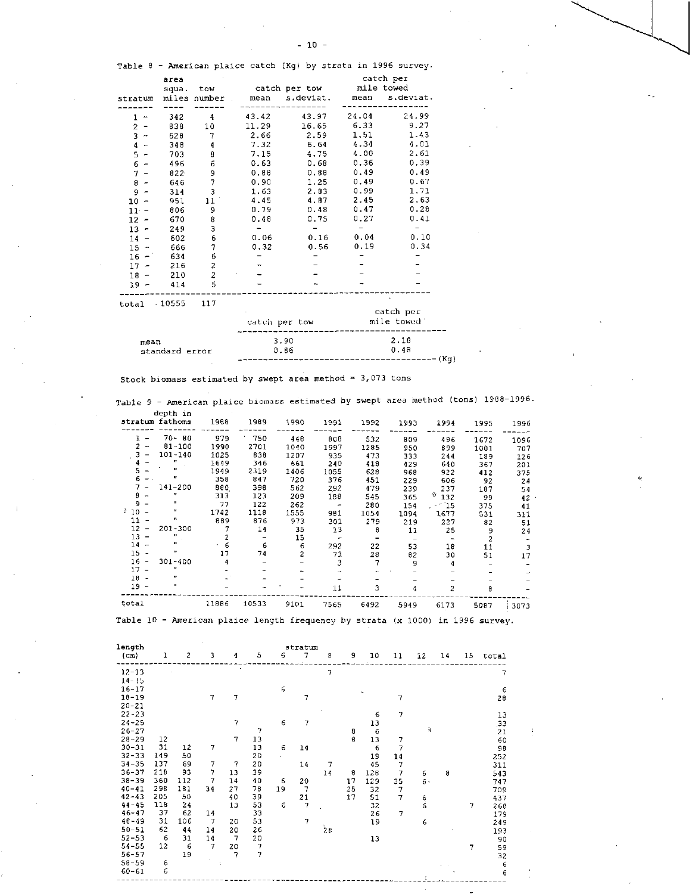Table 8 - American plaice catch (Kg) by strata in 1996 survey.

|                               | area     |                |       |               |       | catch per  |
|-------------------------------|----------|----------------|-------|---------------|-------|------------|
|                               | squa.    | tow            |       | catch per tow |       | mile towed |
| stratum                       |          | miles number   | mean  | s.deviat.     | mean  | s.deviat.  |
|                               |          |                |       |               |       |            |
| 1<br>$\overline{\phantom{a}}$ | 342      | 4              | 43.42 | 43.97         | 24.04 | 24.99      |
| 2<br><b>.</b>                 | 838      | 10             | 11.29 | 16.65         | 6.33  | 9.27       |
| $3 -$                         | 628      | 7              | 2.66  | 2.59          | 1.51  | 1.43       |
| 4<br>$\overline{a}$           | 348      | 4              | 7.32  | 6.64          | 4.34  | 4.01       |
| 5<br>$\overline{\phantom{a}}$ | 703      | 8              | 7.15  | 4.75          | 4.00  | 2.61       |
| 6<br>$\overline{\phantom{0}}$ | 496      | 6              | 0.63  | 0.68          | 0.36  | 0.39       |
| 7                             | $822 -$  | 9              | 0.88  | 0.88          | 0.49  | 0.49       |
| 8<br>$\overline{\phantom{0}}$ | 646      | $\overline{7}$ | 0.90  | 1.25          | 0.49  | 0.67       |
| 9<br>$\overline{\phantom{a}}$ | 314      | 3              | 1.63  | 2.83          | 0.99  | 1.71       |
| 10 -                          | 951      | 11             | 4.45  | 4.87          | 2.45  | 2.63       |
| $11 -$                        | 806      | 9              | 0.79  | 0.48          | 0.47  | 0.28       |
| 12 -                          | 670      | 8              | 0.48  | 0.75          | 0.27  | 0.41       |
| $13 -$                        | 249      | 3              |       |               |       |            |
| $14 -$                        | 602      | 6              | 0.06  | 0.16          | 0.04  | 0.10       |
| $15 -$                        | 666      | 7              | 0.32  | 0.56          | 0.19  | 0.34       |
| $16 -$                        | 634      | 6              |       |               |       |            |
| $17 -$                        | 216      | 2              |       |               |       |            |
| $18 -$                        | 210      | $\overline{c}$ |       |               |       |            |
| $19 -$                        | 414      | 5              |       |               |       |            |
| total                         | $-10555$ | 117            |       |               |       |            |

| -----          | catch per tow | catch per<br>mile towed |
|----------------|---------------|-------------------------|
| mean           | 3.90          | 2.18                    |
| standard error | 0.86          | 0.48                    |
|                |               | .––––––––––– (Kg)       |

Stock biomass estimated by swept area method  $= 3,073$  tons

Table 9 - American plaice biomass estimated by swept area method (tons) 1988-1996. depth in

|                                | stratum fathoms   | 1988  | 1989  | 1990 | 1991   | 1992 | 1993 | 1994              | 1995           | 1996 |
|--------------------------------|-------------------|-------|-------|------|--------|------|------|-------------------|----------------|------|
| -                              | $70 - 80$         | 979   | 750   | 448  | 808    | 532  | 809  | 496               | 1672           | 1096 |
| $\overline{2}$                 | $81 - 100$        | 1990  | 2701  | 1040 | 1997   | 1285 | 950  | 899               | 1001           | 707  |
| $\overline{\phantom{a}}$       | $101 - 140$       | 1025  | 838   | 1207 | 935    | 473  | 333  | 244               | 189            | 126  |
|                                | $\mathbf{H}$      | 1649  | 346   | 661  | 240    | 418  | 429  | 640               | 367            | 201  |
| s                              |                   | 1949  | 2319  | 1406 | 1055   | 628  | 968  | 922               | 412            | 375  |
|                                | Ħ                 | 358   | 847   | 720  | 376    | 451  | 229  | 606               | 92             | 24   |
|                                | 141-200           | 880.  | 398   | 562  | 292    | 479  | 239  | 237               | 187            | 54   |
| я<br>                          | 77                | 313   | 123   | 209  | 188    | 545  | 365  | $\frac{3}{2}$ 132 | 99             | 42   |
|                                | п.                | 77    | 122   | 262  | $\sim$ | 280  | 154  | $-15$             | 375            | 41   |
| $^{3}$ 10 $-$                  | п                 | 1742  | 1118  | 1555 | 981    | 1054 | 1094 | 1677              | 531            | 311  |
| 11                             | ч                 | 889   | 876   | 973  | 301    | 279  | 219  | 227               | 82             | 51   |
| 12<br>$\overline{\phantom{a}}$ | $201 - 300$       |       | 14    | 35   | 13     | 8    | 11   | 25                | 9              | 24   |
| 13<br>$\overline{\phantom{a}}$ | $^{\prime\prime}$ |       |       | 15   |        |      |      |                   | $\overline{2}$ |      |
| $14 -$                         | 99.               |       | 6     | 6    | 292    | 22   | 53   | 18                | 11             | 3    |
| $15 -$                         | æ                 | 17    | 74    | 2    | 73     | 28   | 82   | 30                | 51             | 17   |
| $16 -$                         | $301 - 400$       | 4     |       |      | 3      | 7    | 9    | 4                 |                |      |
| $17 -$                         | $\mathbf{r}$      |       |       |      |        |      |      |                   |                |      |
| 18 -                           |                   |       |       |      |        |      |      |                   |                |      |
| $19 -$                         | $\mathbf{u}$      |       |       |      | 11     | 3    | 4    | 2                 | 8              |      |
| total                          |                   | 11886 | 10533 | 9101 | 7565   | 6492 | 5949 | 6173              | 5087           | 3073 |

Table 10 - American plaice length frequency by strata (x 1000) in 1996 survey.

| length            |     |     |                |    |                |    | stratum |    |    |            |                |        |    |    |       |  |
|-------------------|-----|-----|----------------|----|----------------|----|---------|----|----|------------|----------------|--------|----|----|-------|--|
| (c <sub>m</sub> ) | ı   | 2   | 3              | 4  | 5              | 6  | 7       | 8  | 9  | 10         | 11             | 12     | 14 | 15 | total |  |
| $12 - 13$         |     |     |                |    |                |    |         | 7  |    |            |                |        |    |    | 7     |  |
| $14 - 15$         |     |     |                |    |                |    |         |    |    |            |                |        |    |    |       |  |
| $16 - 17$         |     |     |                |    |                | 6  |         |    |    |            |                |        |    |    | 6     |  |
| $18 - 19$         |     |     | 7              | 7  |                |    | 7       |    |    |            | 7              |        |    |    | 28    |  |
| $20 - 21$         |     |     |                |    |                |    |         |    |    |            |                |        |    |    |       |  |
| $22 - 23$         |     |     |                |    |                |    |         |    |    | 6          | 7              |        |    |    | 13    |  |
| $24 - 25$         |     |     |                | 7  |                | 6  | 7       |    |    | 13         |                |        |    |    | ,33   |  |
| $26 - 27$         |     |     |                |    | $\overline{7}$ |    |         |    | 8  | 6          |                | à.     |    |    | 21    |  |
| $28 - 29$         | 12  |     |                | 7  | 13             |    |         |    | 8  | 13         | 7              |        |    |    | 60    |  |
| $30 - 31$         | 31  | 12  | 7              |    | 13             | 6  | 14      |    |    | $\epsilon$ | 7              |        |    |    | 98    |  |
| $32 - 33$         | 149 | 50  |                |    | 20             |    |         |    |    | 19         | 14             |        |    |    | 252   |  |
| $34 - 35$         | 137 | 69  | 7              | 7  | 20             |    | 14      | 7  |    | 45         | 7              |        |    |    | 311   |  |
| $36 - 37$         | 218 | 93  | 7              | 13 | 39             |    |         | 14 | 8  | 128        | 7              | 6      | 8  |    | 543   |  |
| $38 - 39$         | 360 | 112 | 7              | 14 | 40             | 6  | 20      |    | 17 | 129        | 35             | 6.     |    |    | 747   |  |
| $40 - 41$         | 298 | 181 | 34             | 27 | 78             | 19 | 7       |    | 25 | 32         | $\overline{7}$ |        |    |    | 709   |  |
| $42 - 43$         | 205 | 50  |                | 40 | 39             |    | 21      |    | 17 | 51         | 7              | 6<br>6 |    |    | 437   |  |
| $44 - 45$         | 118 | 24  |                | 13 | 53             | 6  | 7       |    |    | 32         |                |        |    | 7  | 268   |  |
| $46 - 47$         | 37  | 62  | 14             |    | 33             |    |         |    |    | 26         | 7              |        |    |    | 179   |  |
| $48 - 49$         | 31  | 106 | $\overline{7}$ | 20 | 53             |    | 7       |    |    | 19         |                | 6      |    |    | 249   |  |
| $50 - 51$         | 62  | 44  | 14             | 20 | 26             |    |         | 28 |    |            |                |        |    |    | 193   |  |
| $52 - 53$         | 6   | 31  | 14             | 7  | 20             |    |         |    |    | 13         |                |        |    |    | 90    |  |
| $54 - 55$         | 12  | 6   | 7              | 20 | 7              |    |         |    |    |            |                |        |    | 7  | 59    |  |
| $56 - 57$         |     | 19  |                | 7  | $\overline{7}$ |    |         |    |    |            |                |        |    |    | 32    |  |
| $58 - 59$         | 6   |     |                |    |                |    |         |    |    |            |                |        |    |    | 6     |  |
| $60 - 61$         | 6   |     |                |    |                |    |         |    |    |            |                |        |    |    | 6     |  |
|                   |     |     |                |    |                |    |         |    |    |            |                |        |    |    |       |  |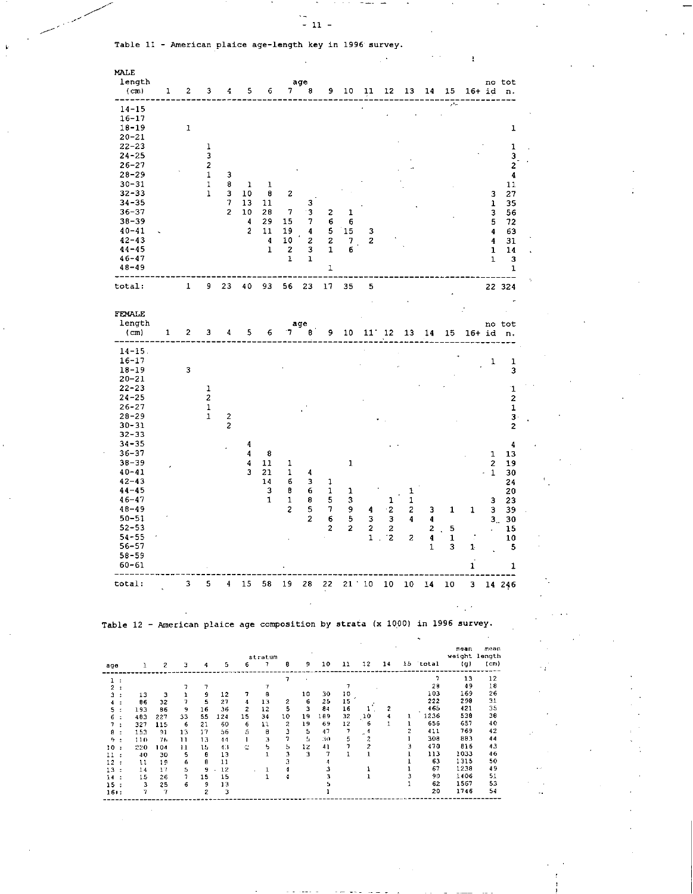$\bar{z}$ 

 $\sim$ 

ï

Table 11 - American plaice age-length key in 1996 survey.

| MALE                                                                          |                                                  |                               |                 |                              |                          |                                  |                         |                         |                                                  |                     |                 |                                                     |                            |                              |                      |                                |                                             |                         |                            |  |
|-------------------------------------------------------------------------------|--------------------------------------------------|-------------------------------|-----------------|------------------------------|--------------------------|----------------------------------|-------------------------|-------------------------|--------------------------------------------------|---------------------|-----------------|-----------------------------------------------------|----------------------------|------------------------------|----------------------|--------------------------------|---------------------------------------------|-------------------------|----------------------------|--|
|                                                                               | length<br>$(c_m)$                                | ı                             | 2               | 3                            | 4                        | 5                                | 6                       | 7                       | age<br>8                                         | 9                   | 10              | 11                                                  | 12                         | 13                           | 14                   | 15                             | 16+ id                                      |                         | no tot<br>n.               |  |
|                                                                               | 14-15<br>$16 - 17$<br>$18 - 19$                  |                               | 1               |                              |                          |                                  |                         |                         |                                                  |                     |                 |                                                     |                            |                              |                      | $\mathcal{F}^{\mathcal{A}}$ as |                                             |                         |                            |  |
|                                                                               | $20 - 21$<br>$22 - 23$<br>$24 - 25$<br>$26 - 27$ |                               |                 | 1<br>3<br>2                  |                          |                                  |                         |                         |                                                  |                     |                 |                                                     |                            |                              |                      |                                |                                             |                         | 1<br>$\mathbf 1$<br>з<br>2 |  |
|                                                                               | $28 - 29$<br>$30 - 31$                           |                               |                 | 1<br>$\overline{1}$          | 3<br>8                   | 1                                | 1                       |                         |                                                  |                     |                 |                                                     |                            |                              |                      |                                |                                             |                         | $\ddot{\bf{4}}$<br>11      |  |
|                                                                               | $32 - 33$                                        |                               |                 | $\mathbf{1}$                 | 3                        | 10                               | 8                       | 2                       |                                                  |                     |                 |                                                     |                            |                              |                      |                                |                                             | з                       | 27                         |  |
|                                                                               | $34 - 35$<br>$36 - 37$                           |                               |                 |                              | 7<br>$\overline{2}$      | 13<br>10                         | 11<br>28                | 7                       | з<br>3                                           | 2                   | 1               |                                                     |                            |                              |                      |                                |                                             | 1<br>3                  | 35<br>56                   |  |
|                                                                               | $36 - 39$                                        |                               |                 |                              |                          | 4                                | 29                      | 15                      | 7                                                | 6                   | 6               |                                                     |                            |                              |                      |                                |                                             | $\overline{\mathbf{5}}$ | 72                         |  |
|                                                                               | $40 - 41$                                        |                               |                 |                              |                          | 2                                | 11                      | 19                      | 4                                                | 5                   | 15              | з                                                   |                            |                              |                      |                                |                                             | 4                       | 63                         |  |
|                                                                               | $42 - 43$<br>$44 - 45$                           |                               |                 |                              |                          |                                  | 4<br>1                  | 10<br>2                 | 2<br>3                                           | $\overline{c}$<br>1 | 7<br>б          | 2                                                   |                            |                              |                      |                                |                                             | 4<br>1                  | 31<br>14                   |  |
|                                                                               | $46 - 47$                                        |                               |                 |                              |                          |                                  |                         | 1                       | ı                                                |                     |                 |                                                     |                            |                              |                      |                                |                                             | $\mathbf{1}$            | 3                          |  |
|                                                                               | $48 - 49$                                        |                               |                 |                              |                          |                                  |                         |                         |                                                  | 1                   |                 |                                                     |                            |                              |                      |                                |                                             |                         | 1                          |  |
| total:                                                                        |                                                  |                               | 1               | 9                            | 23                       | 40                               | 93                      | 56                      | 23                                               | 17                  | 35              | 5                                                   |                            |                              |                      |                                |                                             |                         | 22 324                     |  |
|                                                                               | FEMALE<br>length                                 |                               |                 |                              |                          |                                  |                         |                         | age                                              |                     |                 |                                                     |                            |                              |                      |                                |                                             |                         | no tot                     |  |
|                                                                               | $(c_m)$                                          | 1                             | 2               | 3                            | 4                        | 5                                | 6                       | 7                       | в                                                | 9                   | 10              | $11^{\circ}$                                        | 12                         | 13                           | 14                   | 15                             | 16+ id                                      |                         | n.                         |  |
|                                                                               | $14 - 15$ .<br>$16 - 17$<br>$18 - 19$            |                               | 3               |                              |                          |                                  |                         |                         |                                                  |                     |                 |                                                     |                            |                              |                      |                                |                                             | 1                       | 1<br>3                     |  |
|                                                                               | $20 - 21$<br>$22 - 23$                           |                               |                 | 1                            |                          |                                  |                         |                         |                                                  |                     |                 |                                                     |                            |                              |                      |                                |                                             |                         | $\mathbf 1$                |  |
|                                                                               | $24 - 25$                                        |                               |                 | 2                            |                          |                                  |                         |                         |                                                  |                     |                 |                                                     |                            |                              |                      |                                |                                             |                         | 2                          |  |
|                                                                               | $26 - 27$<br>$28 - 29$                           |                               |                 | $\mathbf{1}$<br>$\mathbf{1}$ | $\overline{\mathbf{c}}$  |                                  |                         |                         |                                                  |                     |                 |                                                     |                            |                              |                      |                                |                                             |                         | $\mathbf 1$<br>$3 \cdot$   |  |
|                                                                               | $30 - 31$                                        |                               |                 |                              | 2                        |                                  |                         |                         |                                                  |                     |                 |                                                     |                            |                              |                      |                                |                                             |                         | 2                          |  |
|                                                                               | 32-33                                            |                               |                 |                              |                          |                                  |                         |                         |                                                  |                     |                 |                                                     |                            |                              |                      |                                |                                             |                         |                            |  |
|                                                                               | $34 - 35$<br>$36 - 37$                           |                               |                 |                              |                          | 4<br>4                           | 8                       |                         |                                                  |                     |                 |                                                     |                            |                              |                      |                                |                                             |                         | 4                          |  |
|                                                                               | $38 - 39$                                        |                               |                 |                              |                          | 4                                | 11                      | 1                       |                                                  |                     | 1               |                                                     |                            |                              |                      |                                |                                             | 1<br>2                  | 13<br>19                   |  |
|                                                                               | $40 - 41$                                        |                               |                 |                              |                          | 3                                | 21                      | 1                       | 4                                                |                     |                 |                                                     |                            |                              |                      |                                |                                             | 1                       | 30                         |  |
|                                                                               | $42 - 43$                                        |                               |                 |                              |                          |                                  | 14                      | б                       | з                                                | 1                   |                 |                                                     |                            |                              |                      |                                |                                             |                         | 24                         |  |
|                                                                               | $44 - 45$<br>$46 - 47$                           |                               |                 |                              |                          |                                  | 3<br>$\mathbf{1}$       | ₿<br>1                  | 6<br>8                                           | 1<br>5              | ı<br>3          |                                                     | 1                          | 1<br>1                       |                      |                                |                                             | з                       | 20<br>23                   |  |
|                                                                               | $48 - 49$                                        |                               |                 |                              |                          |                                  |                         | 2                       | 5                                                | 7                   | 9               | 4                                                   | $\cdot$ 2                  | 2                            | 3                    | 1                              | 1                                           | 3                       | 39                         |  |
|                                                                               | $50 - 51$                                        |                               |                 |                              |                          |                                  |                         |                         | 2                                                | 6                   | 5               | 3                                                   | 3                          | 4                            | 4                    |                                |                                             | 3 <sub>1</sub>          | 30                         |  |
|                                                                               | $52 - 53$<br>$54 - 55$                           |                               |                 |                              |                          |                                  |                         |                         |                                                  | 2                   | 2               | 2                                                   | 2                          |                              | 2                    | 5                              |                                             |                         | 15                         |  |
|                                                                               | 56-57                                            |                               |                 |                              |                          |                                  |                         |                         |                                                  |                     |                 | 1                                                   | -2<br>$\ddot{\phantom{a}}$ | 2                            | 4<br>1               | 1<br>3                         | 1                                           |                         | 10<br>5                    |  |
|                                                                               | 58-59<br>60-61                                   |                               |                 |                              |                          |                                  |                         |                         |                                                  |                     |                 |                                                     |                            |                              |                      |                                | 1                                           |                         | 1                          |  |
| total:                                                                        |                                                  |                               | 3 <sub>1</sub>  | 5.                           |                          |                                  |                         |                         |                                                  |                     |                 |                                                     |                            |                              |                      |                                | 4 15 58 19 28 22 21 10 10 10 14 10 3 14 246 |                         |                            |  |
|                                                                               |                                                  |                               |                 |                              |                          |                                  |                         |                         |                                                  |                     |                 |                                                     |                            |                              |                      |                                | <b>Contract</b>                             |                         |                            |  |
| Table 12 - American plaice age composition by strata (x 1000) in 1996 survey. |                                                  |                               |                 |                              |                          |                                  |                         |                         |                                                  |                     |                 |                                                     |                            |                              |                      |                                |                                             |                         |                            |  |
|                                                                               |                                                  |                               |                 |                              |                          |                                  |                         |                         |                                                  |                     |                 |                                                     |                            |                              |                      |                                |                                             |                         |                            |  |
| age                                                                           |                                                  | $1 \quad 2 \quad 3$           |                 | 4.                           | 5                        | 6.                               | stratum<br>$\mathbf{7}$ | 8.                      |                                                  | $9$ 10 11           |                 | 12 14                                               |                            |                              | 15 total             |                                | mean<br>weight length<br>(g)                | леап<br>(cm)<br>---     |                            |  |
| $\mathbf{1}$ :<br>2:                                                          |                                                  |                               | 7               | 7                            |                          |                                  | $\boldsymbol{\tau}$     | 7                       |                                                  |                     | $\overline{7}$  |                                                     |                            |                              | $\mathcal{L}$<br>-28 |                                | 13<br>49                                    | 12<br>18                |                            |  |
| $3 - 1$<br>$4 - 1$                                                            | 13<br>86                                         | $\overline{\mathbf{3}}$<br>32 | 1<br>7          | 9<br>- 5                     | 12<br>27                 | $\mathbf{r}$<br>$\boldsymbol{4}$ | $\blacksquare$<br>13    | $\overline{\mathbf{z}}$ | 10 <sub>1</sub><br>$-6$                          | 30<br>25            | 10<br>15.       |                                                     |                            |                              | 103<br>222           |                                | 169<br>298                                  | 26<br>31                |                            |  |
| 5:                                                                            | 193<br>483                                       | 86<br>227                     | - 9<br>33       | 16<br>55                     | 36<br>124                | $\overline{z}$<br>15 34          | 12                      | 5.                      | $\overline{\mathbf{3}}$<br>10 19 189             | 84                  | 16<br>32        | $\mathbf{A}^{\text{out}}$                           | 2<br>10 4                  |                              | 465<br>$1 \t 1236$   |                                | 421<br>538                                  | 35<br>38                |                            |  |
| $6 -$<br>$7 -$                                                                | 327                                              | 115                           | $-6$            | 21                           | 60                       | $-6$                             | 11                      | $\sim$ 2 $\sim$         | 19                                               | - 69                | 12 <sub>2</sub> | $\frac{6}{5}$                                       | $\mathbf{1}$               | $\mathbf{1}$                 | 656                  |                                | 657                                         | 40                      |                            |  |
| 8 :<br>$9 - 1$                                                                | 153<br>110                                       | 91<br>- 76                    | 13<br>$11 - 13$ | 17                           | 56<br>$-44$              | $\frac{5}{1}$ $\frac{8}{3}$      |                         | $\mathbf{3}$<br>$7 -$   | $\begin{array}{r} 5 & 47 \\ -5 & 30 \end{array}$ |                     |                 | $\frac{12}{7}$ $\frac{4}{5}$ $\frac{2}{7}$          |                            | $\overline{c}$<br>-1         | 411<br>308           |                                | 769<br>883                                  | 42<br>44                |                            |  |
| 10:                                                                           | 220                                              | 104                           | $\overline{11}$ | - 15                         | 4.3                      | <b>Controller State</b>          |                         |                         | $5 - 12 - 41$                                    |                     |                 | $\begin{array}{ccc} 7 & & 2 \\ 1 & & 1 \end{array}$ |                            | э                            | 470                  |                                | 816                                         | 43                      |                            |  |
| 11:<br>12:                                                                    | 40<br>$\mathbf{11}$                              | 30<br>19                      | - 5             | - 8<br>$\blacksquare$<br>8   | 13<br>-11                |                                  | $\blacksquare$          | $3 -$<br>$\mathbf{3}$   | $\begin{array}{cc} 3 & 7 \\ 4 & \end{array}$     |                     |                 |                                                     |                            | $\mathbf{1}$<br>$\mathbf{1}$ | 113<br>63            |                                | 1033<br>1315                                | 46<br>50                |                            |  |
| 13:                                                                           | 14                                               | $17 -$                        | $\frac{6}{5}$   |                              | $9 \cdot 12$             |                                  | $\blacksquare$          | $\blacktriangleleft$    |                                                  | з                   |                 | $\mathbf{1}$                                        |                            | ı                            | 67<br>90             |                                | 1238                                        | 49<br>51                |                            |  |
| 14 :<br>15:                                                                   | 15<br>$\overline{\mathbf{3}}$                    | 26<br>25                      | $\sim$ 7<br>6   | 15<br>-9                     | 15<br>13                 |                                  | $\mathbf{1}$            | 4                       |                                                  | 3<br>5              |                 | $\mathbf{1}$                                        |                            | 3<br>1                       | 62                   |                                | 1406<br>1567                                | 53                      |                            |  |
| $16 + :$                                                                      | -7                                               | $\overline{7}$                |                 | $\mathbf{z}$                 | $\overline{\phantom{a}}$ |                                  |                         |                         |                                                  | 1                   |                 |                                                     |                            |                              | 20                   |                                | 1746                                        | 54                      |                            |  |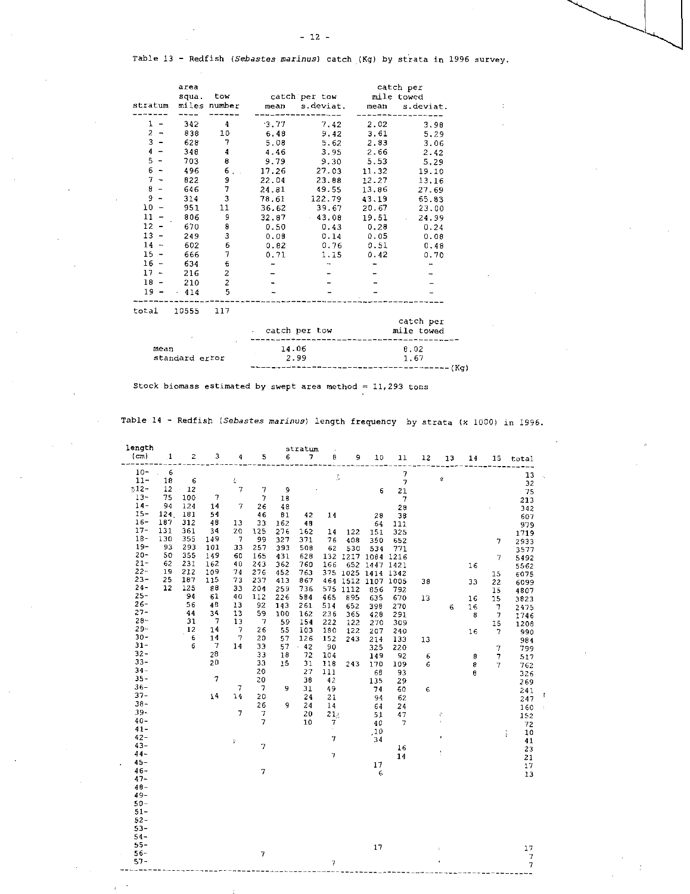Table 13 - Redfish *(Sebastes marinus)* catch (Kg) by strata in 1996 survey.

| stratum                        | area<br>squa.  | tow<br>miles number     | mean  | catch per tow<br>s.deviat. | mean       | catch per<br>mile towed<br>s.deviat. |  |  |  |
|--------------------------------|----------------|-------------------------|-------|----------------------------|------------|--------------------------------------|--|--|--|
| 1                              | 342            | 4                       | 3.77  | 7.42                       | 2.02       | 3.98                                 |  |  |  |
| $\boldsymbol{2}$               | 838            | 10                      | 6.48  | 9.42                       | 3.61       | 5.29                                 |  |  |  |
| 3                              | 628            | 7                       | 5.08  | 5.62                       | 2.83       | 3.06                                 |  |  |  |
| 4                              | 348            | 4                       | 4.46  | 3.95                       | 2.66       | 2.42                                 |  |  |  |
| 5                              | 703            | 8                       | 9.79  | 9.30                       | 5.53       | 5.29                                 |  |  |  |
| б<br>$\overline{\phantom{a}}$  | 496            | 6                       | 17.26 | 27.03                      | 11.32      | 19.10                                |  |  |  |
| $7 -$                          | 822            | 9                       | 22.04 | 23.88                      | 12.27      | 13.16                                |  |  |  |
| 8                              | 646            | 7                       | 24.81 | 49.55                      | 13.86      | 27.69                                |  |  |  |
| 9                              | 314            | 3                       | 78.61 | 122.79                     | 43.19      | 65.83                                |  |  |  |
| $10\,$                         | 951            | 11                      | 36.62 | 39.67                      | 20.67      | 23.00                                |  |  |  |
| 11                             | 806            | 9                       | 32.87 | 43.08                      | 19.51      | 24.99                                |  |  |  |
| 12<br>$\overline{\phantom{a}}$ | 670            | 8                       | 0.50  | 0.43                       | 0.28       | 0.24                                 |  |  |  |
| $13 -$                         | 249            | 3                       | 0.08  | 0.14                       | 0.05       | 0.08                                 |  |  |  |
| 14<br>$\overline{\phantom{a}}$ | 602            | 6                       | 0.82  | 0.76                       | 0.51       | 0.48                                 |  |  |  |
| $15 -$                         | 666            | 7                       | 0.71  | 1.15                       | 0.42       | 0.70                                 |  |  |  |
| 16<br>$\overline{\phantom{0}}$ | 634            | 6                       |       |                            |            |                                      |  |  |  |
| $17 -$                         | 216            | $\overline{\mathbf{c}}$ |       |                            |            |                                      |  |  |  |
| 18                             | 210            | $\overline{c}$          |       |                            |            |                                      |  |  |  |
| $19 -$                         | 414            | 5                       |       |                            |            |                                      |  |  |  |
| total                          | 10555          | 117                     |       |                            |            |                                      |  |  |  |
|                                |                |                         |       |                            |            | catch per                            |  |  |  |
|                                |                |                         |       | catch per tow              | mile towed |                                      |  |  |  |
| mean                           |                |                         | 14.06 |                            | 8.02       |                                      |  |  |  |
|                                | standard error |                         | 2.99  |                            | 1.67       |                                      |  |  |  |

---------- (Kg)

Stock biomass estimated by swept area method =  $11,293$  tons

Table 14 - Redfish *(Sebastes marinus)* length frequency by strata (x 1000) in 1996.

| length                                                                       |                                                |                                                      |                                                          |                                                                |                                                           |                                                             | stratum                                                    |                                                     |                                                                            |                                                      |                                                                      |                 |         |                          |                                                            |                                                                     |
|------------------------------------------------------------------------------|------------------------------------------------|------------------------------------------------------|----------------------------------------------------------|----------------------------------------------------------------|-----------------------------------------------------------|-------------------------------------------------------------|------------------------------------------------------------|-----------------------------------------------------|----------------------------------------------------------------------------|------------------------------------------------------|----------------------------------------------------------------------|-----------------|---------|--------------------------|------------------------------------------------------------|---------------------------------------------------------------------|
| (cm)                                                                         | $\cdot$ 1                                      | 2                                                    | э                                                        | 4                                                              | 5                                                         | 6                                                           | 7                                                          | 8                                                   | 9                                                                          | 10                                                   | 11                                                                   | 12              | 13      | 14                       | 15                                                         | total                                                               |
| $10 -$<br>$11 -$<br>$312 -$<br>$13 -$<br>$14-$<br>15-<br>$16-$               | 6<br>18<br>12<br>75<br>94<br>124<br>187        | 6<br>$-12$<br>100<br>124<br>181<br>312               | $\tau$<br>14<br>54                                       | 县<br>$\gamma$<br>7                                             | 7<br>$\tau$<br>26<br>46                                   | 9<br>18<br>48<br>81                                         | 42                                                         | ţ,<br>14                                            |                                                                            | 6<br>28                                              | $\overline{7}$<br>$\overline{7}$<br>21<br>$\overline{7}$<br>28<br>38 |                 | Ý       |                          |                                                            | 13<br>32<br>75<br>213<br>342<br>607                                 |
| $17 -$<br>$18 -$<br>$19 -$<br>$20 -$<br>$21 -$<br>$22 -$<br>$23 -$<br>$24 -$ | 131<br>130<br>93<br>50<br>62<br>19<br>25<br>12 | 361<br>355<br>293<br>355<br>231<br>212<br>187<br>125 | 48<br>34<br>149<br>101<br>149<br>162<br>109<br>115<br>88 | 13<br>20<br>$\overline{7}$<br>33<br>60<br>40<br>74<br>73<br>33 | 33<br>125<br>99<br>257<br>165<br>243<br>276<br>237<br>204 | 162<br>276<br>327<br>393<br>431<br>362<br>452<br>413<br>259 | 48<br>162<br>371<br>508<br>628<br>760<br>763<br>867<br>736 | 14<br>76<br>62<br>132<br>166<br>375<br>464<br>575   | 122<br>408<br>530<br>1217 1084<br>1025 1414 1342<br>1512 1107 1005<br>1112 | 64<br>151<br>350<br>534<br>652 1447 1421<br>856      | 111<br>325<br>652<br>771<br>1216<br>792                              | 38              |         | 16<br>33                 | 7<br>$\overline{7}$<br>15<br>22<br>15                      | 979<br>1719<br>2933<br>3577<br>5492<br>5562<br>6075<br>6099<br>4807 |
| $25 -$<br>$26 -$<br>$27 -$<br>$28 -$<br>$29 -$<br>$30 -$<br>$31 -$<br>$32 -$ |                                                | 94<br>56<br>44<br>31<br>12<br>6<br>6                 | 61<br>48<br>34<br>-7<br>14<br>14<br>7<br>28              | 40<br>13<br>13<br>13<br>$\overline{7}$<br>$\tau$<br>14         | 112<br>92<br>59<br>$\overline{7}$<br>26<br>20<br>33<br>33 | 226<br>143<br>100<br>59<br>55<br>57<br>57<br>18             | 584<br>261<br>162<br>154<br>103<br>126<br>$-42$<br>72      | 465<br>514<br>236<br>222<br>180<br>152<br>90<br>104 | 895<br>652<br>365<br>122<br>122<br>243                                     | 635<br>398<br>428<br>270<br>207<br>214<br>325<br>149 | 670<br>270<br>291<br>309<br>240<br>133<br>220<br>92                  | 13<br>13<br>6   | 6       | 16<br>16<br>8<br>16<br>8 | 15<br>$\mathcal{I}$<br>$\overline{7}$<br>15<br>7<br>7<br>7 | 3823<br>2475<br>1746<br>1208<br>990<br>984<br>799<br>517            |
| $33 -$<br>$34 -$<br>$35 -$<br>$36 -$<br>$37 -$<br>$38 -$<br>$39 -$<br>$40 -$ |                                                |                                                      | 20<br>$\overline{7}$<br>14                               | 7<br>14<br>7                                                   | 33<br>20<br>20<br>7<br>20<br>26<br>7<br>$\overline{7}$    | 15<br>9<br>9                                                | 31<br>27<br>38<br>31<br>24<br>24<br>20<br>10               | 118<br>111<br>42<br>49<br>21<br>14<br>21x<br>7      | 243                                                                        | 170<br>68<br>135<br>74<br>94<br>64<br>51<br>40       | 109<br>93<br>29<br>60<br>62<br>24<br>47<br>7                         | 6<br>$\epsilon$ | ĉ<br>š. | 8<br>8                   | 7                                                          | 762<br>326<br>269<br>241<br>247<br>160<br>152<br>72                 |
| $41 -$<br>$42 -$<br>$43 -$<br>$44 -$<br>$45 -$<br>$46 -$<br>$47 -$<br>$48 -$ |                                                |                                                      |                                                          | ş                                                              | $\overline{7}$<br>7                                       |                                                             |                                                            | 7<br>$\overline{7}$                                 |                                                                            | ,10<br>34<br>17<br>6                                 | 16<br>14                                                             |                 | ¢<br>÷  |                          | ŧ                                                          | 10<br>41<br>23<br>21<br>17<br>13                                    |
| 49-<br>$50 -$<br>$51 -$<br>$52 -$<br>$53 -$<br>$54 -$<br>$55 -$              |                                                |                                                      |                                                          |                                                                |                                                           |                                                             |                                                            |                                                     |                                                                            |                                                      |                                                                      |                 |         |                          |                                                            |                                                                     |
| $56 -$<br>$57 -$                                                             |                                                |                                                      |                                                          |                                                                | $\overline{7}$                                            |                                                             |                                                            | $\overline{1}$                                      |                                                                            | 17                                                   |                                                                      |                 |         |                          |                                                            | 17<br>$\overline{\phantom{a}}$<br>$\overline{7}$                    |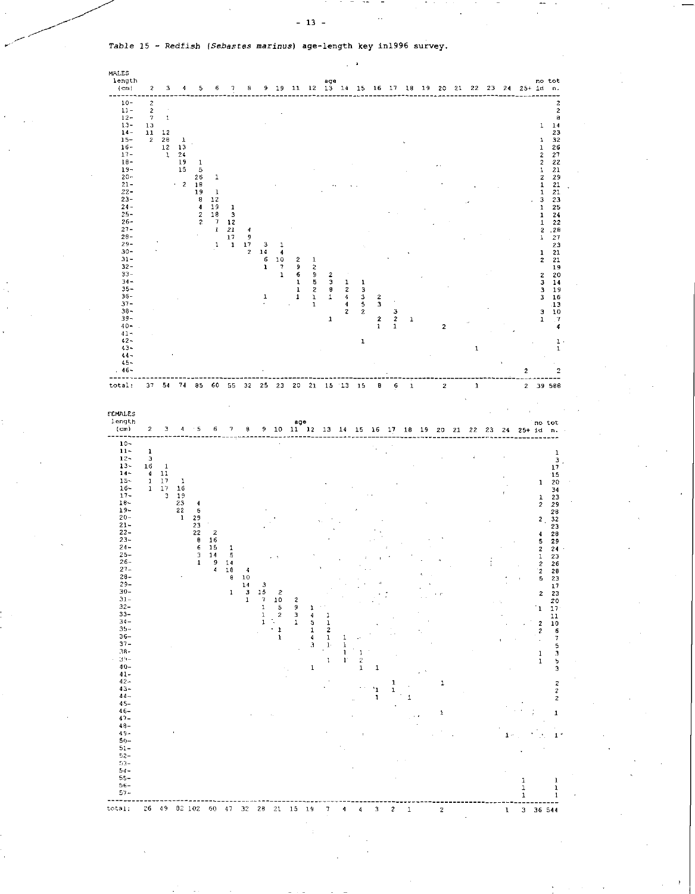*Table 15 - Redfish (Sebastes marinus)* age - length key in1996 survey.



- 13 -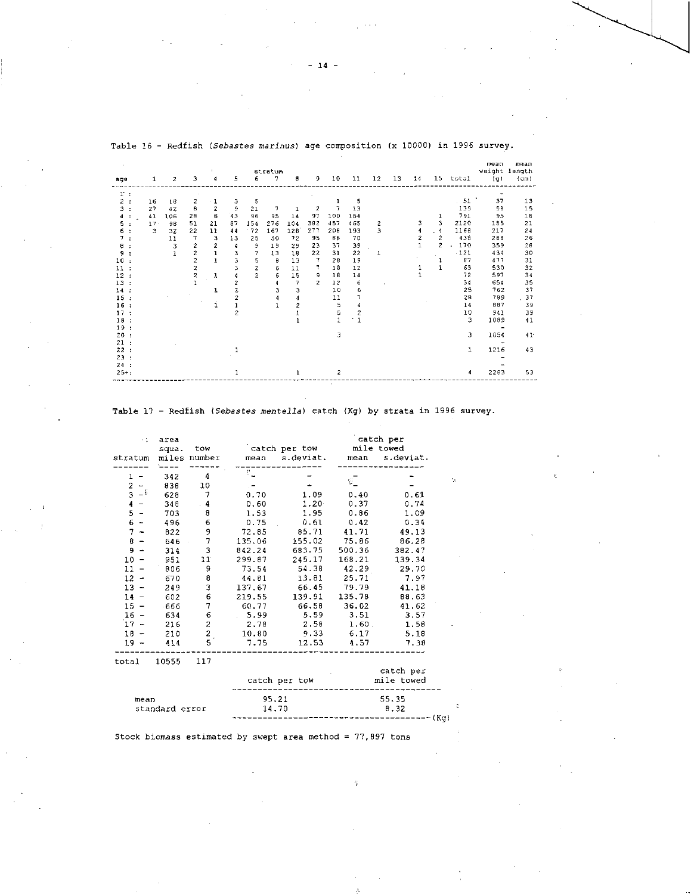| age                               | 1            | 2   | 3                       | $\mathbf{L}$<br>4 | 5                       | 6              | stratum<br>7. | $\theta$                 | 9.             | 10             | 11             | 12        | 13 | 14             | 15             | total  | mean<br>(q)                 | mean<br>weight length<br>(c <sub>m</sub> ) |
|-----------------------------------|--------------|-----|-------------------------|-------------------|-------------------------|----------------|---------------|--------------------------|----------------|----------------|----------------|-----------|----|----------------|----------------|--------|-----------------------------|--------------------------------------------|
| 1:                                |              |     |                         |                   |                         |                |               |                          |                |                |                |           |    |                |                |        |                             |                                            |
| $\overline{z}$<br>$\mathbf{r}$    | 16           | 18  | 2                       | 1                 | з                       | 5              |               |                          |                | ı              | 5              |           |    |                |                | .51    | $\blacktriangleright$<br>37 | 13                                         |
| $\overline{\mathbf{3}}$<br>$\sim$ | 27           | 42  | 8                       | 2                 | 9                       | 21             | 7             | 1                        | $\overline{2}$ | $\tau$         | 13             |           |    |                |                | 139    | 58                          | 15                                         |
| 4                                 | 41           | 106 | 28                      | 6                 | 43                      | 96             | 95            | 14                       | 97             | 100            | 164            |           |    |                | ı              | 791    | 95                          | 1B                                         |
| 5                                 | $17 -$       | 98  | 51                      | 21                | 87                      | 154            | 276           | 104                      | 382            | 457            | 465            | 2         |    | 3              | 3              | 2120   | 155                         | 21                                         |
| 6.                                | $\mathbf{3}$ | 32  | 22                      | 11                | 44                      | $-72$          | 167           | 128                      | 277            | 208            | 193            | 3         |    | 4              | . 4            | 1168   | 217                         | 24                                         |
|                                   |              | 11  | 7                       | 3                 | 13                      | 25             | 50            | 72                       | 95             | 88             | 70             |           |    | $\overline{c}$ | $\overline{c}$ | 438    | 288                         | 26                                         |
| 8                                 |              | 3   | 2                       | $\overline{2}$    | 4                       | 9              | 19            | 29                       | 23             | 37             | 39             |           |    | $\mathbf{1}$   | 2              | 170    | 359                         | 28                                         |
| 9                                 |              | J.  | $\frac{2}{2}$           | $\mathbf{I}$      | 3                       | 7              | 13            | 18                       | 22             | 31             | 22             | ı         |    |                |                | $-121$ | 434                         | 30                                         |
| 10                                |              |     |                         | $\mathbf{I}$      | 3                       | 5              | θ             | 13                       | 7              | 28             | 19             |           |    |                | ı              | 87     | 477                         | 31                                         |
| 11                                |              |     | $\overline{\mathbf{c}}$ |                   | 3                       | $\overline{a}$ | 6             | 11                       | 7.             | 18             | 12             |           |    | 1              | $\mathbf{1}$   | 63     | 530                         | 32                                         |
| 12                                |              |     | $\overline{\mathbf{c}}$ | 1                 | 4                       | $\overline{z}$ | б             | 15                       | 9              | 18             | 14             |           |    |                |                | 72     | 597                         | 34                                         |
| 13                                |              |     |                         |                   | 2                       |                | 4             | $\overline{\phantom{a}}$ | $\overline{2}$ | 12             | 6              | $\lambda$ |    |                |                | 34     | 654                         | 35                                         |
| 14<br>$\mathbf{r}$                |              |     |                         | 1                 | $\overline{\mathbf{z}}$ |                | 3             | 3                        |                | 10             | 6              |           |    |                |                | 25     | 762                         | 37                                         |
| 15<br>$\cdot$                     |              |     |                         |                   | $\overline{2}$          |                | 4             | 4                        |                | 11             | 7              |           |    |                |                | 28     | 789                         | . 37                                       |
| 16                                |              |     |                         | ı                 |                         |                |               | $\overline{c}$           |                | 5              | 4              |           |    |                |                | 14     | 887                         | 39                                         |
| 17<br>÷                           |              |     |                         |                   | $\overline{c}$          |                |               |                          |                | 5              | $\overline{2}$ |           |    |                |                | 10     | 941                         | 39                                         |
| 18                                |              |     |                         |                   |                         |                |               |                          |                |                | $^{\circ}$ 1   |           |    |                |                | з      | 1089                        | 41                                         |
| 19<br>$\cdot$                     |              |     |                         |                   |                         |                |               |                          |                |                |                |           |    |                |                |        | $\overline{\phantom{0}}$    |                                            |
| 20<br>$\cdot$                     |              |     |                         |                   |                         |                |               |                          |                | з              |                |           |    |                |                | 3      | 1054                        | 41 <sup>°</sup>                            |
| 21                                |              |     |                         |                   |                         |                |               |                          |                |                |                |           |    |                |                |        |                             |                                            |
| 22<br>÷                           |              |     |                         |                   |                         |                |               |                          |                |                |                |           |    |                |                | 1      | 1216                        | 43                                         |
| 23                                |              |     |                         |                   |                         |                |               |                          |                |                |                |           |    |                |                |        |                             |                                            |
| 24:                               |              |     |                         |                   |                         |                |               |                          |                |                |                |           |    |                |                |        |                             |                                            |
| $25 + 1$                          |              |     |                         |                   |                         |                |               |                          |                | $\overline{2}$ |                |           |    |                |                | 4      | 2203                        | 53                                         |

Table 16 - Redfish *(Sebastes marines)* age composition (x 10000) in 1996 survey.

## Table 17 - Redfish *(Sebastes mentella)* catch (Kg) by strata in 1996 survey.

 $\dot{\phi}$ 

 $\tilde{\mathbf{c}}$ 

| ÷t.<br>stratum                 | area<br>squa.  | tow<br>miles number | catch per tow<br>s.deviat.<br>mean | catch per<br>mile towed<br>s.deviat. |        |            |  |  |
|--------------------------------|----------------|---------------------|------------------------------------|--------------------------------------|--------|------------|--|--|
|                                |                |                     |                                    |                                      |        |            |  |  |
| ı                              | 342            | 4                   |                                    |                                      | €.     |            |  |  |
| 2                              | 838            | 10                  |                                    |                                      |        |            |  |  |
| $\overline{\mathbf{3}}$        | 628            | 7                   | 0.70                               | 1.09                                 | 0.40   | 0.61       |  |  |
| 4                              | 348            | $\overline{4}$      | 0.60                               | 1.20                                 | 0.37   | 0.74       |  |  |
| 5                              | 703            | 8                   | 1.53                               | 1.95                                 | 0.86   | 1.09       |  |  |
| $6 -$                          | 496            | 6                   | 0.75                               | 0.61                                 | 0.42   | 0.34       |  |  |
| 7                              | 822            | 9                   | 72.85                              | 85.71                                | 41.71  | 49.13      |  |  |
| $8 -$                          | 646            | 7                   | 135.06                             | 155.02                               | 75.86  | 86.28      |  |  |
| 9                              | 314            | 3                   | 842.24                             | 683.75                               | 500.36 | 382.47     |  |  |
| 10                             | 951            | 11                  | 299.87                             | 245.17                               | 168.21 | 139.34     |  |  |
| 11                             | 806            | 9                   | 73.54                              | 54.38                                | 42.29  | 29.70      |  |  |
| 12<br>$\overline{\phantom{a}}$ | 670            | 8                   | 44.81                              | 13.81                                | 25.71  | 7.97       |  |  |
| $13 -$                         | 249            | 3                   | 137.67                             | 66.45                                | 79.79  | 41.18      |  |  |
| $14 -$                         | 602            | 6                   | 219.55                             | 139.91                               | 135.78 | 88.63      |  |  |
| $15 -$                         | - 666          | 7                   | 60.77                              | 66.58                                | 36.02  | 41.62      |  |  |
| 16                             | 634            | 6                   | 5.99                               | 5.59                                 | 3.51   | 3.57       |  |  |
| 17                             | 216            | 2                   | 2.78                               | 2.58                                 | 1.60.  | 1.58       |  |  |
| $18 -$                         | 210            | $\overline{c}$      | 10.80                              | 9.33                                 | 6.17   | 5.18       |  |  |
| $19 -$                         | 414            | 5                   | 7.75                               | 12.53                                | 4.57   | 7.38       |  |  |
| total                          | 10555          | 117                 |                                    |                                      |        |            |  |  |
|                                |                |                     |                                    |                                      |        | catch per  |  |  |
|                                |                |                     |                                    | catch per tow                        |        | mile towed |  |  |
| mean                           |                |                     | 95.21                              |                                      | 55.35  |            |  |  |
|                                | standard error |                     | 14.70                              |                                      |        | 8.32       |  |  |
|                                |                |                     |                                    |                                      |        | ---- (Ka)  |  |  |

Stock biomass estimated by swept area method =  $77,897$  tons

 $\eta$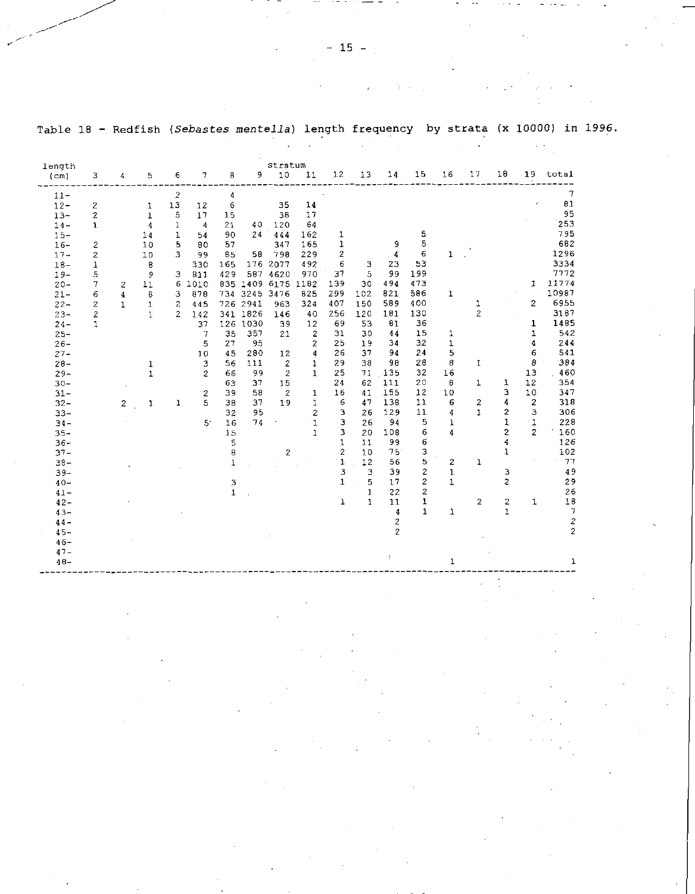Table 18 - Redfish (Sebastes mentella) length frequency by strata (x 10000) in 1996.

| length<br>(cm)   | 3            | 4.                      | 5                | 6                     | 7              | 8                 | 9             | stratum<br>10    | 11                      | 12                | 13           | 14           | 15             | 16                             | 17             | 18                      | 19             | total            |
|------------------|--------------|-------------------------|------------------|-----------------------|----------------|-------------------|---------------|------------------|-------------------------|-------------------|--------------|--------------|----------------|--------------------------------|----------------|-------------------------|----------------|------------------|
|                  |              |                         |                  |                       |                |                   |               |                  |                         |                   |              |              |                |                                |                |                         |                | $\boldsymbol{7}$ |
| $11 -$<br>$12 -$ | $\cdot$ 2    |                         |                  | 2<br>13               | 12             | 4<br>6            |               | 35               | 14                      |                   |              |              |                |                                |                |                         |                | 81               |
| $13 -$           | 2            |                         | 1<br>$\mathbf 1$ | 5                     | 17             | 15                |               | 38               | 17                      |                   |              |              |                |                                |                |                         |                | 95               |
| $14 -$           | 1            |                         | 4                | 1                     | 4              | 21                | 40            | 120              | 64                      |                   |              |              |                |                                |                |                         |                | 253              |
| $15 -$           |              |                         | 14               | 1                     | 54             | 90                | 24            | 444              | 162                     | 1                 |              |              | 5              |                                |                |                         |                | 795              |
| $16 -$           | 2            |                         | 10               | 5                     | 80             | 57                |               | 347              | 165                     | ı                 |              | 9            | 5              |                                |                |                         |                | 682              |
| $17 -$           | 2            |                         | 10               | 3                     | 99             | 85                | 58            | 798              | 229                     | 2                 |              | 4            | 6              | 1                              |                |                         |                | 1296             |
| $18-$            | 1            |                         | 8                |                       | 330            | 165               |               | 176 2077         | 492                     | 6                 | з            | 23           | 53             |                                |                |                         |                | 3334             |
| $19 -$           | 5            |                         | 9                | з                     | 811            | 429               | 587           | 4620             | 970                     | 37                | 5            | 99           | 199            |                                |                |                         |                | 7772             |
| $20 -$           | 7            | $\overline{c}$          | 11               | 6                     | 1010           |                   | 835 1409      | 6175             | 1182                    | 139               | 30           | 494          | 473            |                                |                |                         | 1              | 11774            |
| $21 -$           | 6            | $\overline{\mathbf{4}}$ | 8                | 3                     | 878            |                   | 734 3245 3476 |                  | 825                     | 299               | 102          | 821          | 586            | $\mathbf 1$                    |                |                         |                | 10987            |
| $22 -$           | 2            | $\mathbf{1}$            | $\mathbf{1}$     | 2                     | 445            |                   | 726 2941      | 963              | 324                     | 407               | 150          | 589          | 400            |                                | 1              |                         | $\overline{c}$ | 6955             |
| $23 -$           | 2            |                         | $\mathbf{1}$     | $\mathbf{2}^{\prime}$ | 142            |                   | 341 1826      | 146              | 40                      | 256               | 120          | 181          | 130            |                                | $\overline{c}$ |                         |                | 3187             |
| $24 -$           | $\mathbf{1}$ |                         |                  |                       | 37             |                   | 126 1030      | 39               | 12                      | 69                | 53           | 81           | 36             |                                |                |                         | 1              | 1485             |
| $25 -$           |              |                         |                  |                       | 7              | 35                | 357           | 21               | $\overline{\mathbf{c}}$ | 31                | 30           | 44           | 15             | 1                              |                |                         | $\mathbf{1}$   | 542              |
| $26 -$           |              |                         |                  |                       | 5              | 27                | 95            |                  | 2                       | 25                | 19           | 34           | 32             | $\mathbf{1}$                   |                |                         | 4              | 244              |
| $27 -$           |              |                         |                  |                       | 10             | 45                | 280           | 12               | 4                       | 26                | 37           | 94           | 24             | 5                              |                |                         | 6              | 541              |
| $28 -$           |              |                         | 1                |                       | 3              | 56                | 111           | $\boldsymbol{z}$ | 1                       | 29                | 38           | 98           | 28             | 8                              | $\mathbf{1}$   |                         | 8              | 384              |
| $29 -$           |              |                         | $\mathbf 1$      |                       | $\overline{c}$ | 66                | 99            | $\overline{2}$   | $\mathbf{1}$            | 25                | 71           | 135          | 32             | 16                             |                |                         | 13             | 460              |
| $30 -$           |              |                         |                  |                       |                | 63                | 37            | 15               |                         | 24                | 62           | 111          | 20             | 8                              | $\mathbf{1}$   | 1                       | 12             | 354              |
| $31 -$           |              |                         |                  |                       | $\overline{2}$ | 39                | 58            | $\overline{2}$   | $\mathbf{1}$            | 16                | 41           | 155          | 12             | 10                             |                | з                       | 10             | 347              |
| $32 -$           |              | $\overline{2}$          | $\mathbf{1}$     | 1                     | 5              | 38                | 37            | 19               | $\mathbf{1}$            | 6                 | 47           | 138          | 11             | 6                              | $\mathbf{2}$   | 4                       | $\mathbf{z}$   | 318              |
| $33 -$           |              |                         |                  |                       |                | 32                | 95            |                  | $\overline{\mathbf{c}}$ | з                 | 26           | 129          | 11             | 4                              | $\mathbf{1}$   | $\overline{\mathbf{z}}$ | 3              | 306              |
| $34 -$           |              |                         |                  |                       | 51             | 16                | 74            |                  | 1                       | 3                 | 26           | 94           | 5              | 1                              |                | 1                       | $\cdot$ 1      | 228              |
| $35 -$           |              |                         |                  |                       |                | 15                |               |                  | $\mathbf{1}$            | 3                 | 20           | 108          | 6              | $\overline{4}$                 |                | $\overline{c}$          | $\overline{2}$ | 160              |
| $36 -$           |              |                         |                  |                       |                | 5                 |               |                  |                         | 1                 | 11           | 99           | 6              |                                |                | 4                       |                | 126              |
| $37 -$           |              |                         |                  |                       |                | 8                 |               | $\overline{c}$   |                         | $\overline{c}$    | 10           | 75           | 3<br>5         |                                |                | 1                       |                | 102<br>77        |
| $38 -$           |              |                         |                  |                       |                | 1                 |               |                  |                         | $\mathbf{1}$<br>3 | 12<br>3      | 56<br>39     | 2              | $\overline{2}$<br>$\mathbf{1}$ | 1              | з                       |                | 49               |
| $39 -$           |              |                         |                  |                       |                |                   |               |                  |                         | $\mathbf{1}$      | 5            | 17           | $\overline{c}$ | $\mathbf{1}$                   |                | $\overline{c}$          |                | 29               |
| $40 -$<br>$41 -$ |              |                         |                  |                       |                | з<br>$\mathbf{1}$ |               |                  |                         |                   | $\mathbf{1}$ | 22           | 2              |                                |                |                         |                | 26               |
| $42-$            |              |                         |                  |                       |                |                   |               |                  |                         | $\mathbf{1}$      | $\mathbf{1}$ | 11           | 1              |                                | 2              | 2                       | 1              | 18               |
| $43 -$           |              |                         |                  |                       |                |                   |               |                  |                         |                   |              | 4            | 1              | $\mathbf{1}$                   |                | $\mathbf{1}$            |                | $\overline{7}$   |
| $44 -$           |              |                         |                  |                       |                |                   |               |                  |                         |                   |              | $\mathbf{2}$ |                |                                |                |                         |                | $\boldsymbol{2}$ |
| $45 -$           |              |                         |                  |                       |                |                   |               |                  |                         |                   |              | 2            |                |                                |                |                         |                | $\overline{c}$   |
| $46-$            |              |                         |                  |                       |                |                   |               |                  |                         |                   |              |              |                |                                |                |                         |                |                  |
| $47 -$           |              |                         |                  |                       |                |                   |               |                  |                         |                   |              |              |                |                                |                |                         |                |                  |
| $48 -$           |              |                         |                  |                       |                |                   |               |                  |                         |                   |              | 寸            |                | 1                              |                |                         |                | ı                |
|                  |              |                         |                  |                       |                |                   |               |                  |                         |                   |              |              |                |                                |                |                         |                |                  |
|                  |              |                         |                  |                       |                |                   |               |                  |                         |                   |              |              |                |                                |                |                         |                |                  |
|                  |              |                         |                  |                       |                |                   |               |                  |                         |                   |              |              |                |                                |                |                         |                |                  |
|                  |              |                         |                  |                       |                |                   |               |                  |                         |                   |              |              |                |                                |                |                         |                |                  |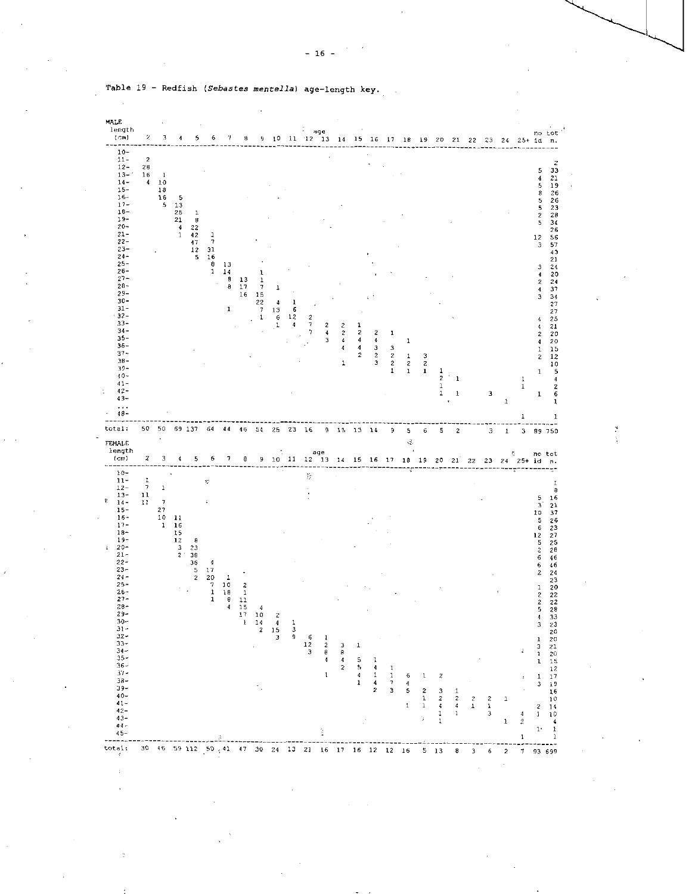

Table 19 - Redfish *(Sebastes mentella)* age-length key.

- 16 -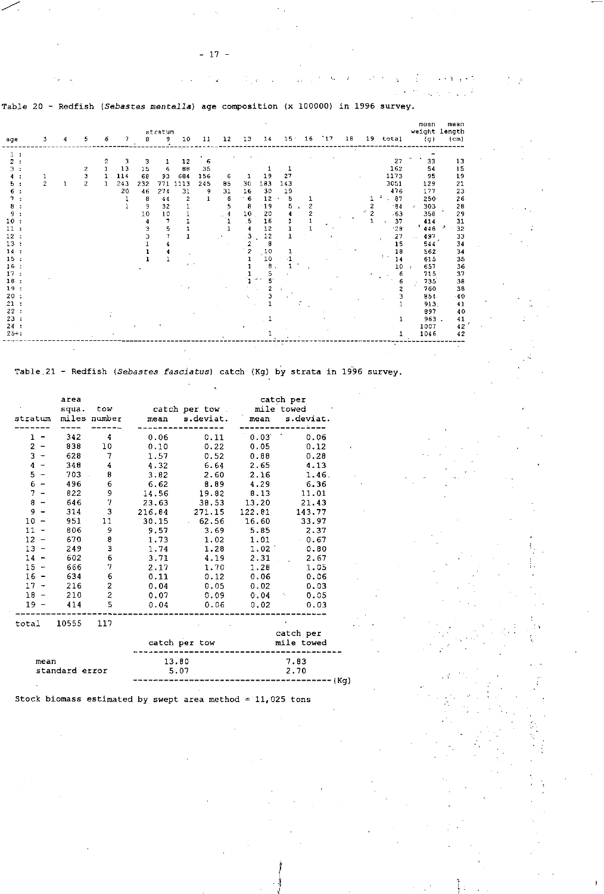t i g

Table 20 - Redfish *(Sebastes mentella)* age composition (x 100000) in 1996 survey.

| age                                                                                                                                                                         | 3              | 4 | 5                                  | 6           | 7                           | 8                                                         | stratum<br><sup>9</sup> .                                                                            | 10                                                              | 11                              | 12                      | 13                                                         | 14                                                                                                                                 | 15 <sup>2</sup>                     | 16                  | $-17$ | 18 | 19                  | total                                                                                                                                                  | mean<br>weight length<br>(g)                                                                                                                                                | maan<br>(c <sub>m</sub> )                                                                                                                          |
|-----------------------------------------------------------------------------------------------------------------------------------------------------------------------------|----------------|---|------------------------------------|-------------|-----------------------------|-----------------------------------------------------------|------------------------------------------------------------------------------------------------------|-----------------------------------------------------------------|---------------------------------|-------------------------|------------------------------------------------------------|------------------------------------------------------------------------------------------------------------------------------------|-------------------------------------|---------------------|-------|----|---------------------|--------------------------------------------------------------------------------------------------------------------------------------------------------|-----------------------------------------------------------------------------------------------------------------------------------------------------------------------------|----------------------------------------------------------------------------------------------------------------------------------------------------|
| 2<br>٦<br>5.<br>6<br>8<br>g<br>10<br>11<br>12 <sub>2</sub><br>13:<br>14:<br>15:<br>$16$ .<br>17<br>18<br>$\mathbf{r}$<br>19:<br>$20$ .<br>21<br>22<br>23<br>24:<br>$25 + :$ | $\overline{c}$ |   | 2<br>э<br>$\overline{\mathcal{L}}$ | 2<br>1<br>1 | 3<br>13<br>114<br>243<br>20 | з<br>15<br>68<br>232<br>46<br>8<br>9<br>10<br>4<br>Э<br>з | 1<br>6<br>93<br>771<br>274<br>44<br>32<br>10<br>$\overline{7}$<br>5<br>7<br>4<br>4<br>$\overline{1}$ | 12<br>88<br>684<br>1113<br>31<br>$\mathbf{2}$<br>1<br>$\bullet$ | 6<br>35<br>156<br>245<br>9<br>1 | 6<br>85<br>31<br>6<br>5 | 30<br>16<br>6<br>8<br>10<br>.5<br>3<br>2<br>$\overline{c}$ | 19<br>183<br>30<br>12<br>$-19$<br>20<br>16<br>12<br>12<br>8<br>$\frac{10}{10}$<br>$\pmb{\uptheta}$<br>5<br>$\mathcal{L}$<br>5<br>2 | 27<br>143<br>19<br>5<br>5<br>4<br>ı | 2<br>$\mathfrak{p}$ |       |    | 2<br>$\overline{2}$ | 27<br>162<br>1173<br>3051<br>476<br>87<br>.84<br>$-63$<br>37<br>$-2B$<br>27<br>15<br>18<br>$\mathcal{L}_{\mathcal{A}}$<br>14<br>10<br>6<br>6<br>2<br>з | 33<br>54<br>95<br>129<br>177<br>$250 -$<br>303<br>358<br>414<br>448<br>497<br>544<br>562<br>615<br>6.57<br>715<br>735<br>760<br>854.<br>913.<br>897<br>963.<br>1007<br>1046 | 13<br>15<br>19<br>21<br>23<br>26<br>26<br>29<br>31<br>32<br>2<br>33<br>34<br>34<br>35<br>36<br>37<br>38<br>38<br>-40<br>41<br>40<br>41<br>42<br>42 |

Table 21 - Redfish *(Sebastes fasciatus)* catch (Kg) by strata in 1996 survey.

| stratum<br>ı<br>2<br>$\overline{\phantom{a}}$<br>$3 -$<br>$\mathbf{4}$<br>$\overline{\phantom{a}}$<br>5<br>$\overline{\phantom{a}}$ | area<br>342<br>838<br>628<br>348 | squa. tow<br>miles number<br>4<br>10<br>$\overline{7}$ | 0.06<br>0.10 | catch per tow mile towed<br>mean s.deviat.<br>0.11 | 0.03                    | catch per<br>mean s.deviat. |  |  |  |
|-------------------------------------------------------------------------------------------------------------------------------------|----------------------------------|--------------------------------------------------------|--------------|----------------------------------------------------|-------------------------|-----------------------------|--|--|--|
|                                                                                                                                     |                                  |                                                        |              |                                                    |                         |                             |  |  |  |
|                                                                                                                                     |                                  |                                                        |              |                                                    |                         | 0.06                        |  |  |  |
|                                                                                                                                     |                                  |                                                        |              | 0.22                                               | 0.05                    | 0.12                        |  |  |  |
|                                                                                                                                     |                                  |                                                        | 1.57         | 0.52                                               | 0.88                    | 0.28                        |  |  |  |
|                                                                                                                                     |                                  | $\overline{4}$                                         | 4.32         | $6.64$ 2.65                                        |                         | 4.13                        |  |  |  |
|                                                                                                                                     |                                  | 703<br>8                                               | 3.82         | 2.60                                               | 2.16                    | 1.46                        |  |  |  |
| $6 -$                                                                                                                               | 496                              | 6                                                      | 6.62         | 8.89                                               | 4.29                    | 6.36                        |  |  |  |
| $7 -$                                                                                                                               | 822                              | 9<br>7                                                 | 14.56        |                                                    | 19.82 8.13              | 11.01                       |  |  |  |
| 8<br>$\overline{\phantom{a}}$                                                                                                       | 646                              |                                                        | 23.63        | 38.53                                              | 13.20                   | 21.43                       |  |  |  |
| $9 -$                                                                                                                               | 314                              | 3                                                      | 216.84       | 271.15 122.81                                      |                         | 143,77                      |  |  |  |
| $10 -$                                                                                                                              | 951                              | 11                                                     | 30.15        | $-62.56$                                           |                         | 16.60 33.97                 |  |  |  |
| $11 -$                                                                                                                              | 806                              | 9                                                      | 9.57         | 3.69                                               | 5.85                    | 2.37                        |  |  |  |
| $12 -$                                                                                                                              | 670                              | 8<br>3                                                 | 1.73         | 1.02                                               | 1.01                    | 0.67                        |  |  |  |
| $13 -$                                                                                                                              | 249                              |                                                        | 1.74         | 1.28                                               | 1.02                    | 0.80                        |  |  |  |
| 14<br>$\blacksquare$                                                                                                                | 602                              | 6                                                      | 3.71         | 4.19                                               | 2.31                    | 2.67<br>$\mathbf{r}$        |  |  |  |
| $15 -$                                                                                                                              | 666                              | 7                                                      | 2.17         |                                                    | 1.70 1.28               | 1.05                        |  |  |  |
| $16 -$                                                                                                                              | 634                              | 6                                                      | 0.11         |                                                    | $0.12$ $0.06$           | 0.06                        |  |  |  |
| $17 -$                                                                                                                              | 216                              | $\mathbf 2$                                            | 0.04         | 0.05                                               | 0.02                    | 0.03                        |  |  |  |
| $18 -$                                                                                                                              | 210                              | $\overline{c}$                                         | 0.07         |                                                    |                         | $0.09$ $0.04$ $0.05$        |  |  |  |
| $19 -$                                                                                                                              | 414                              | S                                                      | 0.04         | 0.06                                               | 0.02                    | 0.03                        |  |  |  |
| total 10555 117                                                                                                                     |                                  |                                                        |              |                                                    |                         |                             |  |  |  |
|                                                                                                                                     |                                  |                                                        |              | catch per tow                                      | catch per<br>mile towed |                             |  |  |  |
| mean                                                                                                                                |                                  |                                                        | 13.80        |                                                    | 7.83                    |                             |  |  |  |
|                                                                                                                                     | standard error                   |                                                        | 5.07         |                                                    |                         | 2.70<br>--- (Kg)            |  |  |  |

Stock biomass estimated by swept area method  $= 11,025$  tons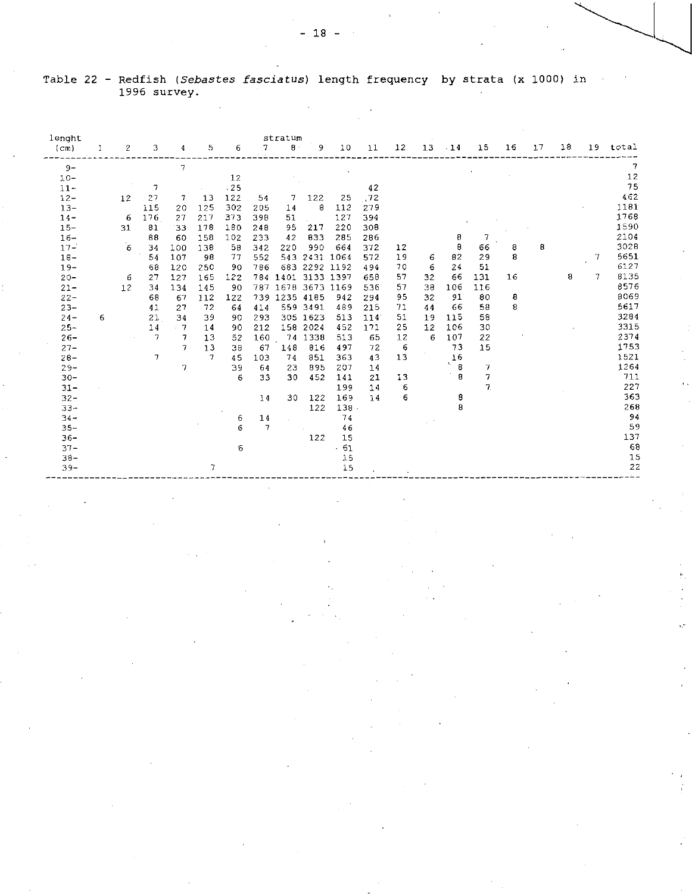| lenght<br>(cm)                                                                                                                                                                                                                                                                                                 | $\mathbf{1}$ | 2                                      | 3                                                                                                      | 4                                                                                                                                 | 5.                                                                                                                                             | 6                                                                                                                                                | 7 <sup>1</sup>                                                                                                                         | stratum<br>$8 -$                                                                                               | 9                                                                                                                                                                                                                                               | 10                                                                                                                                                         | 11                                                                                                                                               | 12                                                                                    |                                            | 13 14 15                                                                                                             |                                                                                                                                                      | 16                     | 17 | 18 |        | 19 total                                                                                                                                                                                                                          |
|----------------------------------------------------------------------------------------------------------------------------------------------------------------------------------------------------------------------------------------------------------------------------------------------------------------|--------------|----------------------------------------|--------------------------------------------------------------------------------------------------------|-----------------------------------------------------------------------------------------------------------------------------------|------------------------------------------------------------------------------------------------------------------------------------------------|--------------------------------------------------------------------------------------------------------------------------------------------------|----------------------------------------------------------------------------------------------------------------------------------------|----------------------------------------------------------------------------------------------------------------|-------------------------------------------------------------------------------------------------------------------------------------------------------------------------------------------------------------------------------------------------|------------------------------------------------------------------------------------------------------------------------------------------------------------|--------------------------------------------------------------------------------------------------------------------------------------------------|---------------------------------------------------------------------------------------|--------------------------------------------|----------------------------------------------------------------------------------------------------------------------|------------------------------------------------------------------------------------------------------------------------------------------------------|------------------------|----|----|--------|-----------------------------------------------------------------------------------------------------------------------------------------------------------------------------------------------------------------------------------|
| $9-$<br>$10 -$<br>$11 -$<br>$12 -$<br>$13 -$<br>$14 -$<br>$15 -$<br>$16-$<br>$17 -$<br>$18 -$<br>$19-$<br>$20 -$<br>$21 -$<br>$22 -$<br>$23 -$<br>$24 -$<br>$25 -$<br>$26 -$<br>$27 -$<br>$28 -$<br>$29 -$<br>$30 -$<br>$31 -$<br>$32 -$<br>$33 -$<br>$34 -$<br>$35 -$<br>$36 -$<br>$37 -$<br>$38 -$<br>$39 -$ | 6            | 12<br>6<br>31<br>$\epsilon$<br>6<br>12 | 7<br>27<br>115<br>176<br>81<br>88<br>34<br>54<br>68<br>27<br>34<br>68<br>41<br>21<br>14<br>$\tau$<br>7 | $\overline{7}$<br>$\tau$<br>20<br>27<br>33<br>60<br>100<br>107<br>120<br>127<br>134<br>67<br>27<br>34<br>$-7$<br>$\tau$<br>7<br>7 | $\alpha$ .<br>13<br>125<br>217<br>178<br>158<br>138<br>98<br>250<br>165<br>145<br>112<br>72<br>39<br>14<br>13<br>13<br>$\mathcal{I}$<br>$\tau$ | 12<br>.25<br>122<br>302<br>373<br>180<br>102<br>58<br>77<br>90<br>122<br>90<br>122<br>64<br>90<br>90<br>52<br>38<br>45<br>39<br>6<br>6<br>6<br>6 | 54<br>205<br>398<br>248<br>233<br>342<br>552<br>786<br>414<br>293<br>212<br>160<br>67<br>103<br>64<br>33<br>14<br>14<br>$\overline{7}$ | 7 <sup>7</sup><br>14<br>51<br>95<br>42<br>220<br>739 1235 4185<br>148<br>74<br>23<br>30<br>$\mathcal{L}^{\pm}$ | 122<br>8<br>$\frac{1}{2}$ , $\frac{1}{2}$<br>217<br>833<br>990<br>543 2431 1064<br>683 2292 1192<br>784 1401 3133 1397<br>787 1678 3673 1169<br>559 3491<br>305 1623<br>158 2024<br>74 1338<br>816<br>851<br>895<br>452<br>30 122<br>122<br>122 | 112<br>127<br>220<br>285<br>664<br>942<br>489<br>513<br>452<br>513<br>497<br>363<br>207<br>141<br>199<br>169<br>138<br>74<br>46<br>15<br>$-61$<br>15<br>15 | 42<br>25 72<br>279<br>394<br>308<br>286<br>372<br>572<br>494<br>658<br>536<br>294<br>215<br>114<br>171<br>65<br>72<br>43<br>14<br>21<br>14<br>14 | 12<br>19<br>70<br>57<br>57<br>95<br>71<br>51<br>25<br>12<br>- 6<br>13<br>13<br>6<br>6 | 6<br>32<br>38<br>32<br>44<br>19<br>12<br>6 | 8<br>$\theta$<br>6 82<br>24<br>66<br>106<br>91<br>66<br>115<br>106<br>107<br>73<br>16<br>- 8<br>$\ddot{8}$<br>8<br>8 | $\overline{7}$<br>66<br>29<br>51<br>131<br>116<br>80<br>58<br>58<br>30<br>22<br>15<br>$\overline{\mathcal{F}}$<br>$\boldsymbol{7}$<br>7 <sub>1</sub> | 8<br>8<br>16<br>8<br>8 | 8  | 8  | 7<br>7 | 7<br>$1\,2$<br>75<br>462<br>1181<br>1768<br>1590<br>2104<br>3028<br>5651<br>6127<br>8135<br>8576<br>8069<br>5617<br>3284<br>3315<br>2374<br>1753<br>1521<br>1264<br>711<br>227<br>363<br>268<br>94<br>59<br>137<br>68<br>15<br>22 |
|                                                                                                                                                                                                                                                                                                                |              |                                        |                                                                                                        |                                                                                                                                   |                                                                                                                                                |                                                                                                                                                  |                                                                                                                                        |                                                                                                                |                                                                                                                                                                                                                                                 |                                                                                                                                                            |                                                                                                                                                  |                                                                                       |                                            |                                                                                                                      |                                                                                                                                                      |                        |    |    |        |                                                                                                                                                                                                                                   |

Table 22 - Redfish *(Sebastes*  1996 survey. *fasciatus)* length frequency by strata (x 1000) in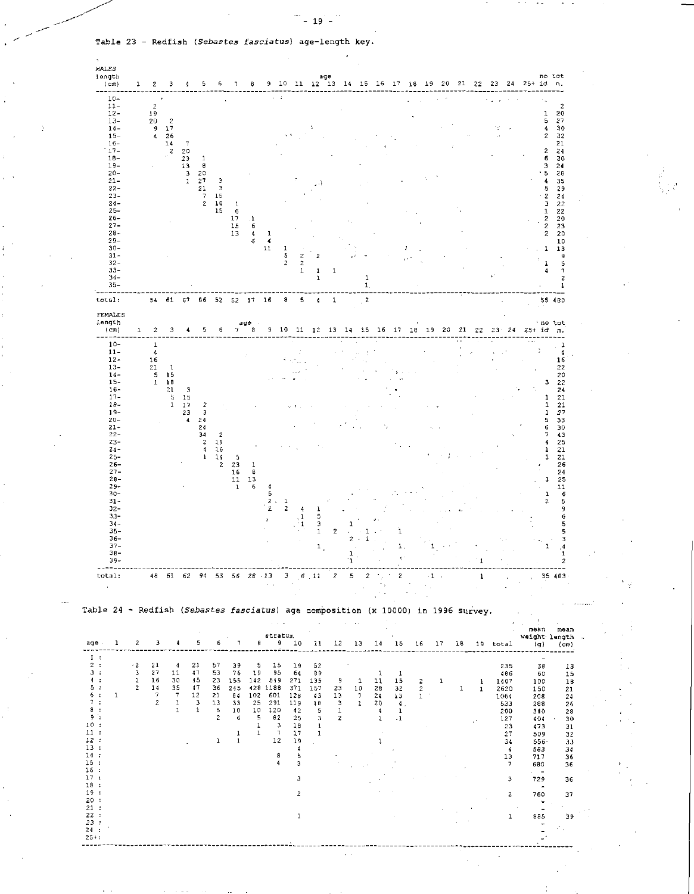Table 23 - Redfish *(Sebastes fasciatus)*  age- length key.

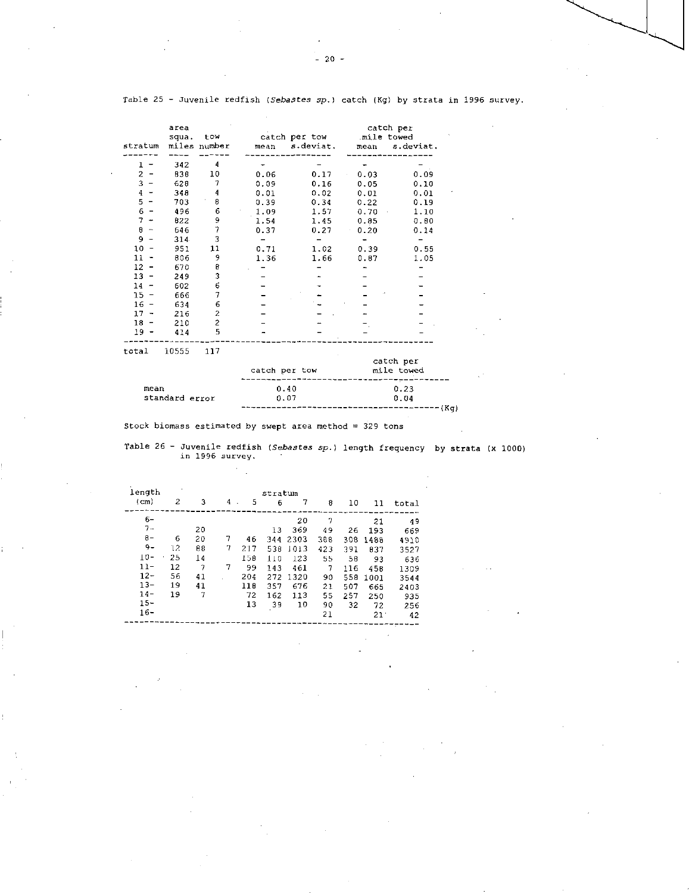|         | area  |                |      |               |             | catch per |
|---------|-------|----------------|------|---------------|-------------|-----------|
|         | squa. | tow            |      | catch per tow | mile towed. |           |
| stratum |       | miles number   | mean | s.deviat.     | mean        | s.deviat. |
|         |       |                |      |               |             |           |
| ı       | 342   | 4              |      |               |             |           |
| 2       | 838   | 10             | 0.06 | 0.17          | 0.03        | 0.09      |
| 3       | 628   | 7              | 0.09 | 0.16          | 0.05        | 0.10      |
| 4       | 348   | 4              | 0.01 | 0.02          | 0.01        | 0.01      |
| 5       | 703   | 8              | 0.39 | 0.34          | 0.22        | 0.19      |
| 6       | 496   | 6              | 1.09 | 1.57          | 0.70        | 1.10      |
| 7       | 822   | 9              | 1.54 | 1.45          | 0.85        | 0.80      |
| 9<br>⊷  | 646   | 7              | 0.37 | 0.27          | 0.20        | 0.14      |
| 9       | 314   | 3              |      |               |             |           |
| 10      | 951   | 11             | 0.71 | 1.02          | 0.39        | 0.55      |
| 11      | 806   | 9              | 1.36 | 1.66          | 0.87        | 1.05      |
| 12      | 670   | в              |      |               |             |           |
| 13      | 249   | 3              |      |               |             |           |
| 14      | 602   | 6              |      |               |             |           |
| 15      | 666   | 7              |      |               |             |           |
| 16      | 634   | 6              |      |               |             |           |
| 17      | 216   | 2              |      |               |             |           |
| 18      | 210   | $\overline{c}$ |      |               |             |           |
| 19      | 414   | 5              |      |               |             |           |

Table 25 - Juvenile redfish *(Sebastes* sp.) catch (Kg) by strata in 1996 survey.

total 10555 117

|                | catch per tow | catch per<br>mile towed |
|----------------|---------------|-------------------------|
| mean           | 0.40          | 0.23                    |
| standard error | 0.07          | 0.04                    |
|                |               | ------------ (Kg)       |

Stock biomass estimated by swept area method =  $329$  tons

Table 26 - Juvenile redfish Juvenile redfish (*Sebastes sp.*) length frequency by strata (x 1000)<br>in 1996 survey.

| length<br>stratum |     |    |   |     |     |      |     |     |                 |       |  |  |  |
|-------------------|-----|----|---|-----|-----|------|-----|-----|-----------------|-------|--|--|--|
| $(c_{m})$         | 2   | 3  | 4 | 5   | 6   | 7    | 8   | 10  | 11              | total |  |  |  |
| $6-$              |     |    |   |     |     | 20   | 7   |     | 21              | 49    |  |  |  |
| $7 -$             |     | 20 |   |     | 13  | 369  | 49  | 26  | 193             | 669   |  |  |  |
| $8-$              | 6   | 20 | 7 | 46  | 344 | 2303 | 388 | 308 | 1488            | 4910  |  |  |  |
| $9-$              | 12. | 88 | 7 | 217 | 538 | 1013 | 423 | 391 | 837             | 3527  |  |  |  |
| $10 -$            | 25  | 14 |   | 158 | 110 | 123  | 55  | 58  | 93              | 636   |  |  |  |
| $11 -$            | 12  | 7  | 7 | 99  | 143 | 461  | 7   | 116 | 45B             | 1309  |  |  |  |
| $12 -$            | 56  | 41 |   | 204 | 272 | 1320 | 90  | 558 | 1001            | 3544  |  |  |  |
| $13 -$            | 19  | 41 |   | 118 | 357 | 676  | 21  | 507 | 665             | 2403  |  |  |  |
| $14 -$            | 19  | 7  |   | 72  | 162 | 113  | 55  | 257 | 250             | 935   |  |  |  |
| $15 -$            |     |    |   | 13  | 39  | 10   | 90  | 32  | 72              | 256   |  |  |  |
| $16-$             |     |    |   |     |     |      | 21  |     | 21 <sup>°</sup> | 42    |  |  |  |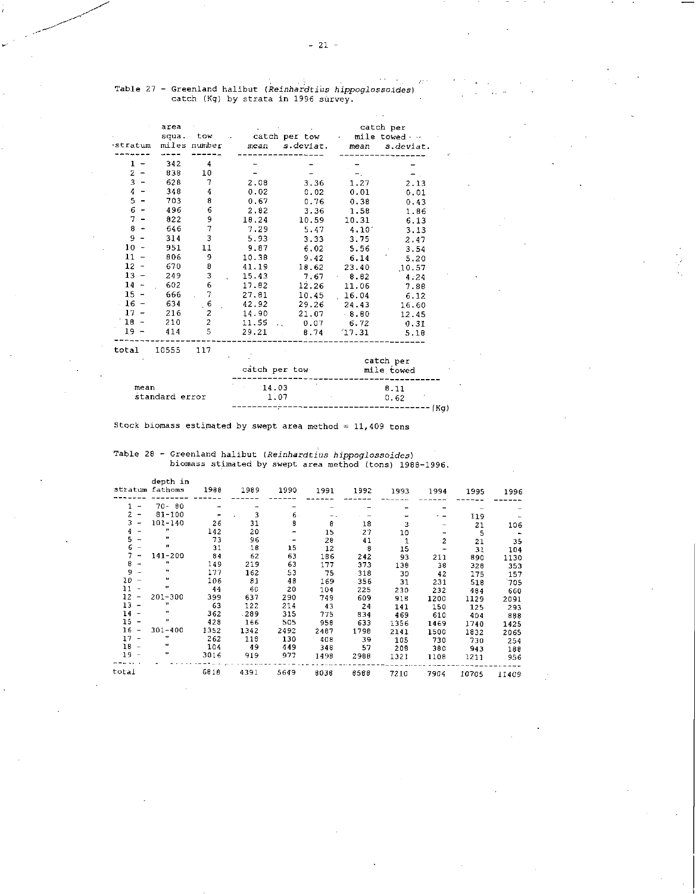$\omega_{\rm{eff}}=0.1$ 

|                                                | area           |                |               |               | catch per<br>mile towed $\cdots$ |            |  |  |  |
|------------------------------------------------|----------------|----------------|---------------|---------------|----------------------------------|------------|--|--|--|
|                                                |                | squa. tow      |               | catch per tow |                                  |            |  |  |  |
| stratum                                        |                | miles number   | mean          | s.deviat.     | mean                             | s deviat.  |  |  |  |
| 1                                              | 342            | 4              |               |               |                                  |            |  |  |  |
| $\overline{2}$<br>-                            | 838            | 10             |               |               |                                  |            |  |  |  |
| $\overline{3}$<br>$\qquad \qquad \blacksquare$ | 628            | 7              | 2.08          | 3.36          | 1.27                             | 2.13       |  |  |  |
| 4<br>-                                         | 348            | 4              | 0.02          | 0.02          | 0.01                             | 0.01       |  |  |  |
| 5                                              | 703            | 8              | 0.67          | 0.76          | 0.38                             | 0.43       |  |  |  |
| $\epsilon$<br>$\ddot{\phantom{1}}$             | 496            | 6              | 2.82          | 3.36          | 1.58                             | 1.86       |  |  |  |
| 7.<br>$\qquad \qquad -$                        | 822            | 9              | 18.24         | 10.59         | 10.31                            | 6.13       |  |  |  |
| 8<br>$\bullet$                                 | 646            | $\overline{7}$ | 7.29          | 5.47          | 4.10'                            | 3.13       |  |  |  |
| 9                                              | 314            | 3              | 5.93          | 3.33          | 3.75                             | 2.47       |  |  |  |
| 10 <sub>1</sub>                                | 951            | 11             | 9.87          | 6.02          | 5.56                             | 3.54       |  |  |  |
| 11                                             | 806            | 9              | 10.38         | 9.42          | 6.14                             | 5.20       |  |  |  |
| $12 -$                                         | 670            | 8              | 41.19         | 18.62         | 23.40                            | 10.57      |  |  |  |
| 13                                             | 249            | 3              | 15.43         | 7.67          | 8.82                             | 4.24       |  |  |  |
| $14 -$                                         | 602            | 6              | 17.82         | 12.26         | 11.06                            | 7.88       |  |  |  |
| $15 -$                                         | 666            |                | 27.81         | 10.45         | 16.04                            | 6.12       |  |  |  |
| $16 -$                                         | 634            | 6              | 42.92         | 29.26         | 24.43                            | 16.60      |  |  |  |
| 17                                             | 216            | 2              | 14.90         | 21.07         | 8.80                             | 12 45      |  |  |  |
| $18 -$                                         | 210            | $\overline{2}$ | 11.55         | 0.07          | 6.72                             | 0.31       |  |  |  |
| $19 -$                                         | 414            | 5              | 29.21         | 8.74          | 17.31                            | 5.18       |  |  |  |
| total                                          | 10555          | 117            |               |               |                                  |            |  |  |  |
|                                                |                |                |               |               |                                  | catch per  |  |  |  |
|                                                |                |                | catch per tow |               |                                  | mile towed |  |  |  |
| mean                                           |                |                | 14.03         |               | B.11                             |            |  |  |  |
|                                                | standard error |                |               | 1.07          |                                  | 0.62       |  |  |  |

Table 27 - Greenland halibut *(Reinhardtius hippoglossoides)*<br>catch (Kg) by strata in 1996 survey.

Stock biomass estimated by swept area method =  $11,409$  tons

|                                  | depth in<br>stratum fathoms | 1988                     | 1989 | 1990  | 1991           | 1992 | 1993         | 1994           | 1995  | 1996  |
|----------------------------------|-----------------------------|--------------------------|------|-------|----------------|------|--------------|----------------|-------|-------|
|                                  | $70 - 80$                   |                          |      |       |                |      |              |                |       |       |
| $\overline{2}$<br>$\blacksquare$ | $81 - 100$                  | $\overline{\phantom{a}}$ | 3    | $6 -$ | $\overline{a}$ |      |              |                | 119   |       |
| 3<br>$\overline{\phantom{a}}$    | 101-140                     | 26                       | 31   | 8     | 8              | 18   | 3            |                | 21    | 106   |
| 4                                | 11                          | 142                      | 20   |       | 15             | 27   | 10           |                | 5     |       |
| 5                                | 11                          | 73                       | 96   |       | 28             | 41   | $\mathbf{1}$ | $\overline{c}$ | 21    | 35    |
| 6                                | п                           | 31                       | 18   | 15    | $12 \,$        | 8    | 15           |                | 31    | 104   |
|                                  | $141 - 200$                 | 84                       | 62   | 63    | 186            | 242  | 93           | 211            | 890   | 1130  |
| 8<br>÷                           | n                           | 149                      | 219  | 63    | 177            | 373  | 138          | 38             | 328   | 353   |
| 9<br>$\overline{a}$              | $\mathbf{v}$                | 177                      | 162  | 53    | 75             | 318  | 30           | 42             | 175   | 157   |
| $10 -$                           | $\mathbf{u}$                | 106                      | 81   | 48    | 169            | 356  | 31           | 231            | 518   | 705   |
| 11<br>$\rightarrow$              | 11                          | 44                       | 60   | 20    | 104            | 225  | 230          | 232            | 484   | 660   |
| 12<br>$\overline{\phantom{a}}$   | $201 - 300$                 | 399                      | 637  | 290   | 749            | 609  | 918          | 1200           | 1129  | 2091  |
| 13 -                             | 11                          | 63                       | 122  | 214   | 43             | 24   | 141          | 150            | 125   | 293   |
| $14 -$                           | Ħ                           | 362                      | -289 | 315   | 775            | 834  | 469          | 610            | 404   | 888   |
| $15 -$                           | $\mathbf{u}$                | 428                      | 166  | 505   | 958            | 633  | 1356         | 1469           | 1740  | 1425  |
| $16 -$                           | $301 - 400$                 | 1352                     | 1342 | 2492  | 2487           | 1798 | 2141         | 1500           | 1832  | 2065  |
| $17 -$                           | 44                          | 262                      | 118  | 130   | 408            | 39   | 105          | 730            | 730   | 254   |
| $18 -$                           |                             | 104                      | - 49 | 449   | 348            | 57   | 208          | 380            | 943   | 188   |
| $19 -$                           | 99                          | 3016                     | 919  | 977   | 1498           | 2988 | 1321         | 1108           | 1211  | 956   |
| total                            |                             | 6818                     | 4391 | 5649  | 8036           | 8588 | 7210         | 7904           | 10705 | 11409 |

 $------(Kg)$ 

Table 28 - Greenland halibut *(Reinhardtius hippoglossoides)*  biomass stimated by swept area method (tons) 1988-1996.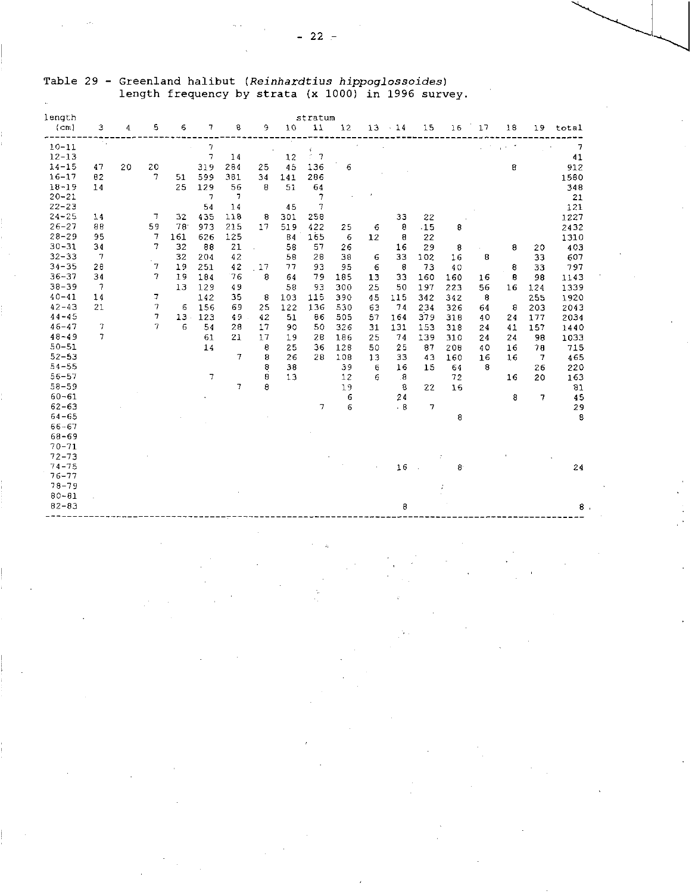| length<br>(cm)         | 3              | 4  | 5  | 6      | 7              | 8      | 9             | 10  | stratum<br>11       | 12  |    | $13 - 14$               | 15             | 16  | 17 | 18                | 19  | total          |
|------------------------|----------------|----|----|--------|----------------|--------|---------------|-----|---------------------|-----|----|-------------------------|----------------|-----|----|-------------------|-----|----------------|
| $10 - 11$              | 94             |    |    |        | $\overline{7}$ |        |               |     | $\hat{\varepsilon}$ |     |    |                         |                |     |    | $\chi$ and $\chi$ |     | $\overline{7}$ |
| $12 - 13$              |                |    |    |        | $\overline{7}$ | 14     |               | 12  | $5 - 7$             |     |    |                         |                |     |    |                   |     | 41             |
| $14 - 15$              | 47             | 20 | 20 |        | 319            | 284    | 25            | 45  | 136                 | 6   |    |                         |                |     |    | 8                 |     | 912            |
| $16 - 17$              | 82             |    | 7  | 51     | 599            | 381    | 34            | 141 | 286                 |     |    |                         |                |     |    |                   |     | 1580           |
| $18 - 19$              | 14             |    |    | 25     | 129            | 56     | 8             | 51  | 64                  |     |    |                         |                |     |    |                   |     | 348            |
| $20 - 21$              |                |    |    |        | 7              | 7      |               |     | 7                   |     |    |                         |                |     |    |                   |     | 21             |
| $22 - 23$              |                |    |    |        | 54             | 14     |               | 45  | 7                   |     |    |                         |                |     |    |                   |     | 121            |
| $24 - 25$              | 14             |    | 7  | 32     | 435            | 178    | 8             | 301 | 258                 |     |    | 33                      | 22             |     |    |                   |     | 1227           |
| $26 - 27$              | 88             |    | 59 | 78     | 973            | 215    | 17            | 519 | 422                 | 25  | 6  | 8                       | .15            | 8   |    |                   |     | 2432           |
| $28 - 29$              | 95             |    | 7  | 161    | 626            | 125    |               | 84  | 165                 | 6   | 12 | 8                       | 22             |     |    |                   |     | 1310           |
| $30 - 31$              | 34             |    | 7  | 32     | 88             | 21     | $\mathcal{L}$ | 58  | 57                  | 26  |    | 16                      | 29             | 8   |    | 8                 | 20  | 403            |
| $32 - 33$              | 7              |    |    | 32     | 204            | 42     |               | 58  | 28                  | 38  | 6  | 33                      | 102            | 16  | 8  |                   | 33  | 607            |
| $34 - 35$              | 28             |    | 7  | 19     | 251            | 42     | 17            | 77  | 93                  | 95  | 6  | 8                       | 73             | 40  |    | 8                 | 33  | 797            |
| $36 - 37$              | 34             |    | 7  | 19     | 184            | 76     | 8             | 64  | 79                  | 185 | 13 | 33                      | 160            | 160 | 16 | Β                 | 98  | 1143           |
| $38 - 39$              | $\tau$         |    |    | 13     | 129            | 49     |               | 58  | 93                  | 300 | 25 | 50                      | 197            | 223 | 56 | 16                | 124 | 1339           |
| $40 - 41$              | 14             |    | 7  |        | 142            | 35     | 8             | 103 | 115                 | 390 | 45 | 115                     | 342            | 342 | 8  |                   | 255 | 1920           |
| $42 - 43$              | 21             |    | 7  | 6      | 156            | 69     | 25            | 122 | 136                 | 530 | 63 | 74                      | 234            | 326 | 64 | 8                 | 203 | 2043           |
| $44 - 45$              |                |    | 7  | $13 -$ | 123            | 49     | 42            | 51  | 86                  | 505 | 57 | 164                     | 379            | 318 | 40 | 24                | 177 | 2034           |
| $46 - 47$              | $\overline{7}$ |    | 7  | 6      | 54             | 28     | 17            | 90  | 50                  | 326 | 31 | 131                     | 153            | 318 | 24 | 41                | 157 | 1440           |
| $48 - 49$              | 7              |    |    |        | 61             | 21     | 17            | 19  | 28                  | 186 | 25 | 74                      | 139            | 310 | 24 | 24                | 98  | 1033           |
| $50 - 51$              |                |    |    |        | 14             |        | 8             | 25  | 36                  | 128 | 50 | 25                      | 87             | 208 | 40 | 16                | 78  | 715            |
| $52 - 53$              |                |    |    |        |                | $\tau$ | 8             | 26  | 28                  | 108 | 13 | 33                      | 43             | 160 | 16 | 16                | 7   | 465            |
| $54 - 55$              |                |    |    |        |                |        | 8             | 38  |                     | 39  | 6  | 16                      | 15             | 64  | 8  |                   | 26  | 220            |
| $56 - 57$              |                |    |    |        | $\overline{7}$ |        | 8             | 13  |                     | 12  | 6  | $\overline{\mathbf{8}}$ |                | 72  |    | 16                | 20  | 163            |
| $58 - 59$              |                |    |    |        |                | 7      | 8             |     |                     | 19  |    | 8                       | 22             | 16  |    |                   |     | 81             |
| $60 - 61$              |                |    |    |        |                |        |               |     |                     | 6   |    | 24                      |                |     |    | 8                 | 7   | 45             |
| $62 - 63$              |                |    |    |        |                |        |               |     | 7                   | 6   |    | .8                      | $\overline{7}$ |     |    |                   |     | 29             |
| $64 - 65$              |                |    |    |        |                |        |               |     |                     |     |    |                         |                | 8   |    |                   |     | 8              |
| $66 - 67$              |                |    |    |        |                |        |               |     |                     |     |    |                         |                |     |    |                   |     |                |
| 68-69                  |                |    |    |        |                |        |               |     |                     |     |    |                         |                |     |    |                   |     |                |
| $70 - 71$              |                |    |    |        |                |        |               |     |                     |     |    |                         |                |     |    |                   |     |                |
| $72 - 73$              |                |    |    |        |                |        |               |     |                     |     |    |                         |                |     |    |                   |     |                |
| $74 - 75$              |                |    |    |        |                |        |               |     |                     |     |    | 16                      |                | 8   |    |                   |     | 24             |
| $76 - 77$              |                |    |    |        |                |        |               |     |                     |     |    |                         |                |     |    |                   |     |                |
| $78 - 79$              |                |    |    |        |                |        |               |     |                     |     |    |                         |                |     |    |                   |     |                |
| $80 - 81$<br>$82 - 83$ |                |    |    |        |                |        |               |     |                     |     |    |                         |                |     |    |                   |     |                |
|                        |                |    |    |        |                |        |               |     |                     |     |    | 8                       |                |     |    |                   |     | $\bf{8}$       |
|                        |                |    |    |        |                |        |               |     |                     |     |    |                         |                |     |    |                   |     |                |
|                        |                |    |    |        |                |        |               |     |                     |     |    |                         |                |     |    |                   |     |                |
|                        |                |    |    |        |                |        |               |     |                     |     |    |                         |                |     |    |                   |     |                |
|                        |                |    |    |        |                |        |               |     |                     |     |    |                         |                |     |    |                   |     |                |
|                        |                |    |    |        |                |        |               |     |                     |     |    |                         |                |     |    |                   |     |                |

## Table 29 - Greenland halibut *(Reinhardtius hippoglossoides)*  length frequency by strata (x 1000) in 1996 survey.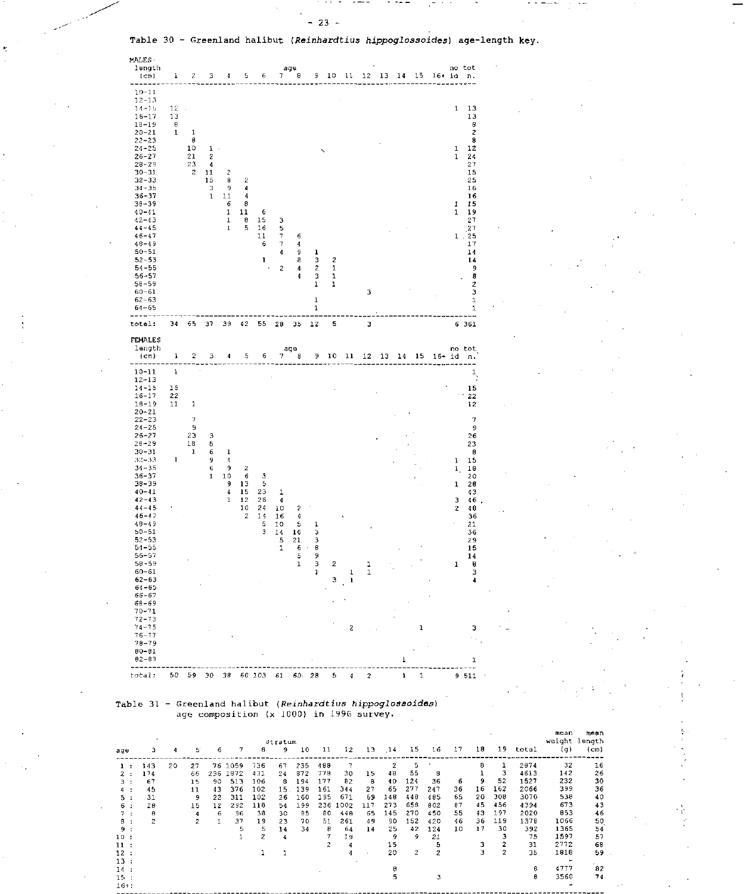![](_page_22_Figure_2.jpeg)

#### Table 31 - Greenland halibut *(Reinhardtius hippoglossoides)*  age composition (x 1000) in 1996 survey.

|       |                | Stratum |                |     |      |     |    |     |     |         |     |                |                |              |    |    |                |       | mean<br>weight length | mean |
|-------|----------------|---------|----------------|-----|------|-----|----|-----|-----|---------|-----|----------------|----------------|--------------|----|----|----------------|-------|-----------------------|------|
| age   |                | 4       | S.             | 6   |      | 8   | 9. | 10  | 11  | $12 \,$ | 13  | .14            | 15             | 16           | 17 | 18 | 19             | total | $(\sigma)$            | (cm) |
| 1.    | 143            | 20      | 27             | 76  | 1059 | 736 | 67 | 235 | 488 |         |     | $\overline{c}$ | 5              |              |    | 8  |                | 2874  | 32                    | 16   |
| 2 :   | 174            |         | 66             | 236 | 1872 | 431 | 24 | 872 | 778 | 30      | 15  | 48             | 55             | 8            |    |    | з              | 4613  | 142                   | 26   |
| з.    | 67             |         | 15             | 90  | 513  | 106 | 8  | 194 | 177 | 82      | 8   | 40             | 124            | 36           | 6  | 9  | 52             | 1527  | 232                   | 30   |
| 4 :   | 45             |         | 11             | 43  | 376  | 102 | 15 | 139 | 161 | 344     | 27  | 65             | 277            | 247          | 36 | 16 | 162            | 2066  | 399                   | 36   |
| 5 :   | 31             |         | 9              | 22  | 311  | 102 | 26 | 160 | 195 | 671     | 69  | 148            | 448            | 405          | 65 | 20 | 308            | 3070  | 538                   | 40   |
| 6:    | 28             |         | 15             | 12  | 292  | 118 | 54 | 199 | 236 | 1002    | 117 | 273            | 658            | 802          | 87 | 45 | 456            | 4394  | 673                   | 43   |
| 7:    | 8              |         | 4              | 6   | 96   | 38  | 30 | 85  | 80  | 448     | 65  | 145            | 270            | 450          | 55 | 43 | 197            | 2020  | 853                   | 46   |
| в.    | $\overline{c}$ |         | $\overline{z}$ |     | 37   | 19  | 23 | 70  | 51  | 261     | 49  | 90             | 152            | 420          | 46 | 36 | 119            | 1378  | 1066                  | 50   |
| 9:    |                |         |                |     | 5    | 5   | 14 | 34  | 8   | 64      | 14  | 25             | 42             | 124          | 10 | 17 | 30             | 392   | 1365                  | 54   |
| 10:   |                |         |                |     |      | 2   | 4  |     | 7   | 19      |     | 9              | ۹              | 21           |    |    |                | 75    | 1597                  | 57   |
| 11:   |                |         |                |     |      |     |    |     | 2   |         |     | 15             |                | 5            |    | 3  |                | 31    | 2772                  | 68   |
| 12:   |                |         |                |     |      |     |    |     |     |         |     | 20             | $\overline{2}$ | $\mathbf{2}$ |    |    | $\overline{2}$ | 35    | 1818                  | 59   |
| 13:   |                |         |                |     |      |     |    |     |     |         |     |                |                |              |    |    |                |       |                       |      |
| 14:   |                |         |                |     |      |     |    |     |     |         |     | 8              |                |              |    |    |                | 8     | 4777                  | 82   |
| 15.1  |                |         |                |     |      |     |    |     |     |         |     | 5              |                | 3            |    |    |                | в     | 3560                  | 74   |
| $16+$ |                |         |                |     |      |     |    |     |     |         |     |                |                |              |    |    |                |       |                       |      |

 $\frac{1}{2}$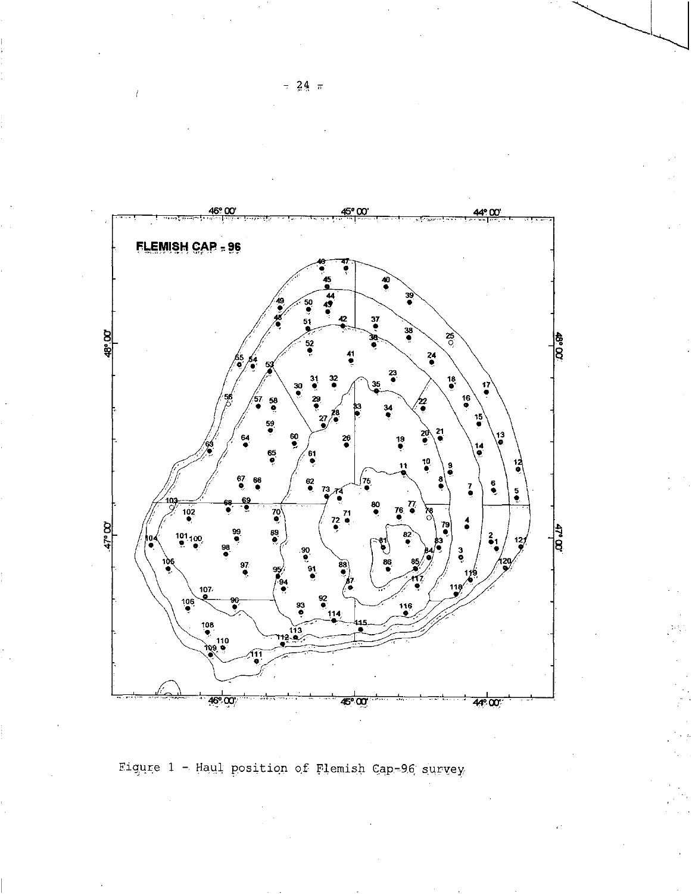![](_page_23_Figure_0.jpeg)

Figure 1 - Haul position of Flemish Cap-96 survey

 $-24$   $\pi$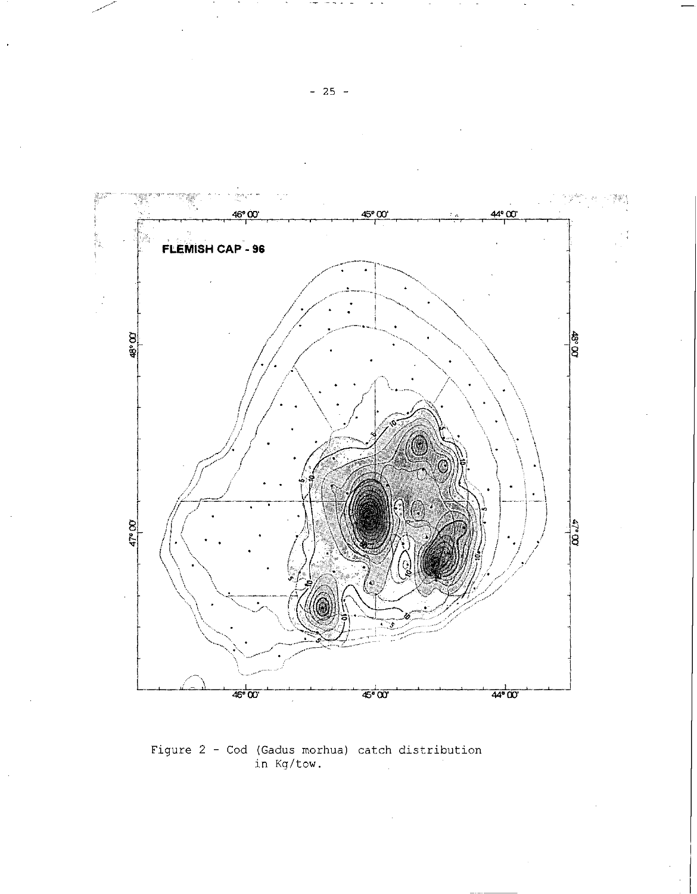![](_page_24_Figure_0.jpeg)

Figure 2 - Cod (Gadus morhua) catch distribution<br>in Kg/tow.

 $-25 -$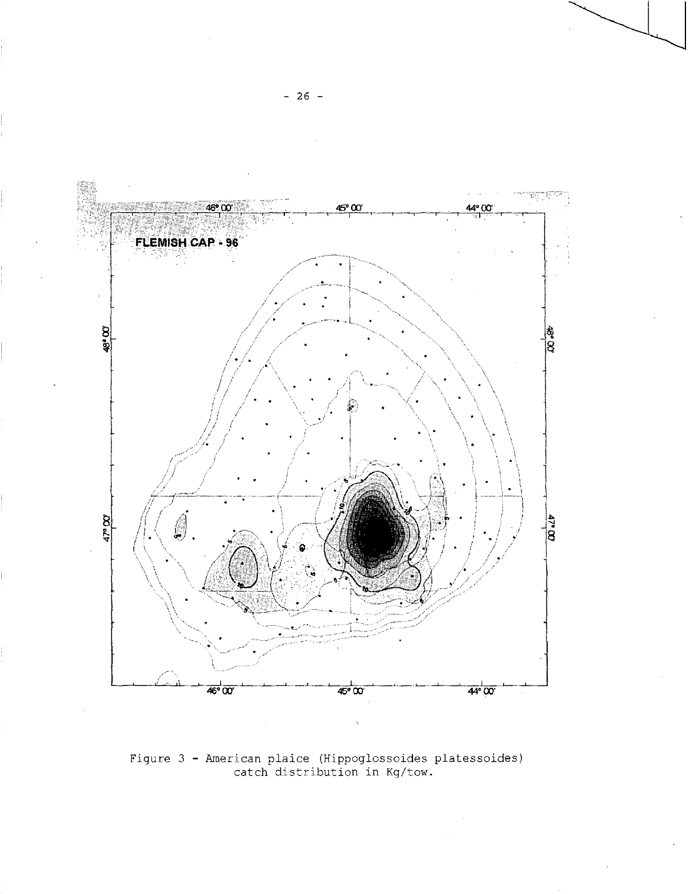![](_page_25_Figure_0.jpeg)

Figure 3 - American plaice (Hippoglossoides platessoides)<br>catch distribution in Kg/tow.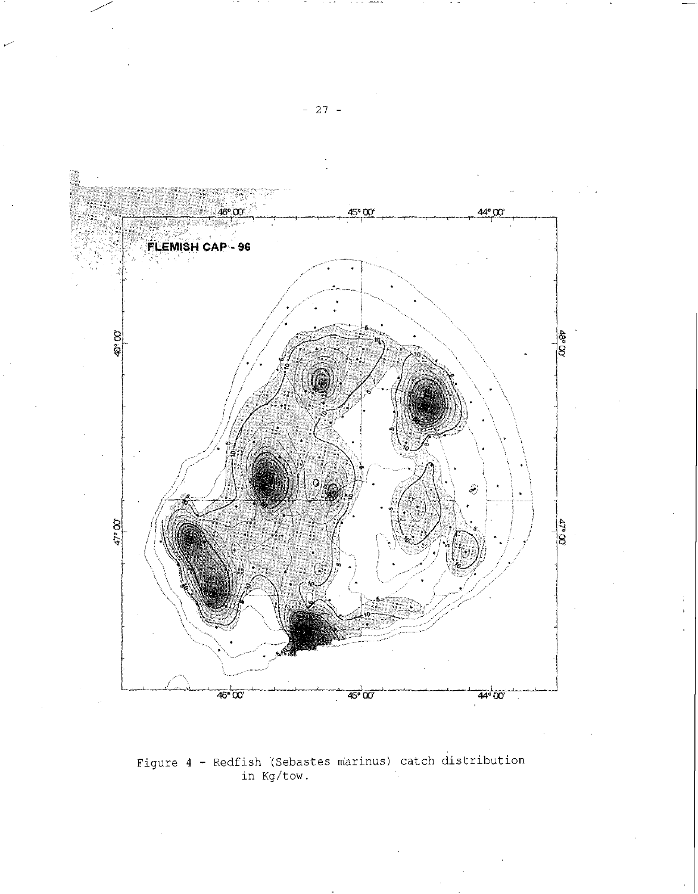![](_page_26_Figure_0.jpeg)

Figure 4 - Redfish (Sebastes marinus) catch distribution in Kg/tow.

- 27 -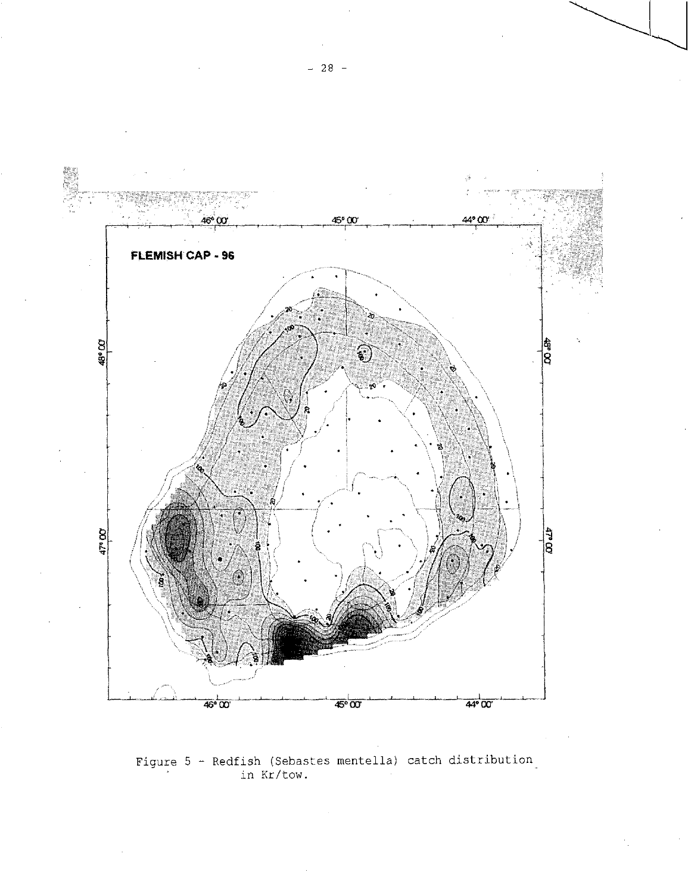![](_page_27_Figure_0.jpeg)

Figure 5 - Redfish (Sebastes mentella) catch distribution in Kr/tow.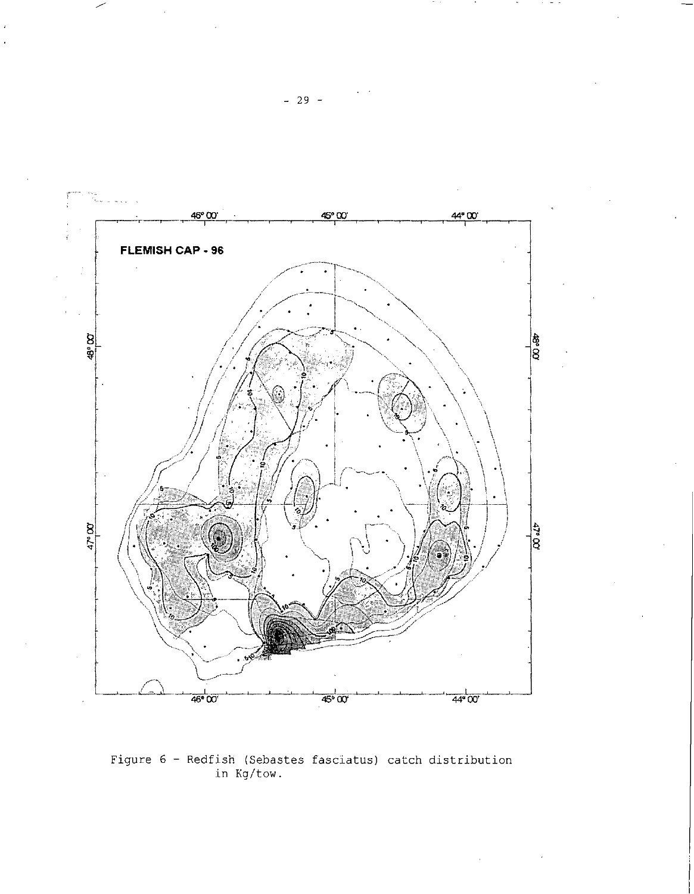![](_page_28_Figure_0.jpeg)

Figure 6 - Redfish (Sebastes fasciatus) catch distribution in Kg/tow.

- 29 -